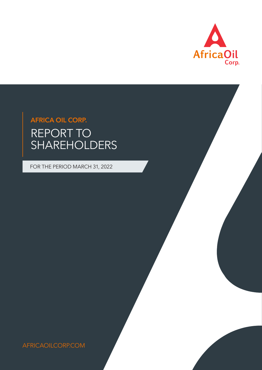

# REPORT TO SHAREHOLDERS AFRICA OIL CORP.

FOR THE PERIOD MARCH 31, 2022

AFRICAOILCORP.COM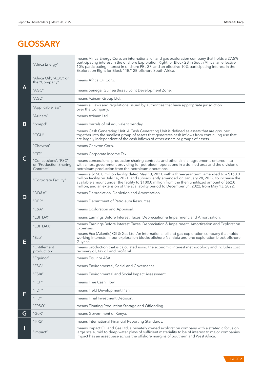# **GLOSSARY**

|   | "Africa Energy"                                             | means Africa Energy Corp. an international oil and gas exploration company that holds a 27.5%<br>participating interest in the offshore Exploration Right for Block 2B in South Africa, an effective<br>10% participating interest in offshore PEL 37, and an effective 10% participating interest in the<br>Exploration Right for Block 11B/12B offshore South Africa.                                    |  |  |  |
|---|-------------------------------------------------------------|------------------------------------------------------------------------------------------------------------------------------------------------------------------------------------------------------------------------------------------------------------------------------------------------------------------------------------------------------------------------------------------------------------|--|--|--|
|   | "Africa Oil", "AOC", or<br>the "Company"                    | means Africa Oil Corp.                                                                                                                                                                                                                                                                                                                                                                                     |  |  |  |
| A | "AGC"                                                       | means Senegal Guinea Bissau Joint Development Zone.                                                                                                                                                                                                                                                                                                                                                        |  |  |  |
|   | "AGL"                                                       | means Azinam Group Ltd.                                                                                                                                                                                                                                                                                                                                                                                    |  |  |  |
|   | "Applicable law"                                            | means all laws and regulations issued by authorities that have appropriate jurisdiction<br>over the Company.                                                                                                                                                                                                                                                                                               |  |  |  |
|   | "Azinam"                                                    | means Azinam Ltd.                                                                                                                                                                                                                                                                                                                                                                                          |  |  |  |
| B | "boepd"                                                     | means barrels of oil equivalent per day.                                                                                                                                                                                                                                                                                                                                                                   |  |  |  |
|   | "CGU"                                                       | means Cash Generating Unit. A Cash Generating Unit is defined as assets that are grouped<br>together into the smallest group of assets that generates cash inflows from continuing use that<br>are largely independent of the cash inflows of other assets or groups of assets.                                                                                                                            |  |  |  |
|   | "Chevron"                                                   | means Chevron Corp.                                                                                                                                                                                                                                                                                                                                                                                        |  |  |  |
|   | $^{\prime\prime}$ CIT $^{\prime\prime}$                     | means Corporate Income Tax.                                                                                                                                                                                                                                                                                                                                                                                |  |  |  |
| C | "Concessions", "PSC"<br>or "Production Sharing<br>Contract" | means concessions, production sharing contracts and other similar agreements entered into<br>with a host government providing for petroleum operations in a defined area and the division of<br>petroleum production from the petroleum operations.                                                                                                                                                        |  |  |  |
|   | "Corporate Facility"                                        | means a \$150.0 million facility dated May 13, 2021, with a three-year term, amended to a \$160.0<br>million facility on July 16, 2021, and subsequently amended on January 28, 2022, to increase the<br>available amount under the facility to \$100.0 million from the then unutilized amount of \$62.0<br>million, and an extension of the availability period to December 31, 2022, from May 13, 2022. |  |  |  |
|   | "DD&A"                                                      | means Depreciation, Depletion and Amortization.                                                                                                                                                                                                                                                                                                                                                            |  |  |  |
| D | "DPR"                                                       | means Department of Petroleum Resources.                                                                                                                                                                                                                                                                                                                                                                   |  |  |  |
|   | "E&A"                                                       | means Exploration and Appraisal.                                                                                                                                                                                                                                                                                                                                                                           |  |  |  |
|   | "EBITDA"                                                    | means Earnings Before Interest, Taxes, Depreciation & Impairment, and Amortization.                                                                                                                                                                                                                                                                                                                        |  |  |  |
|   | "EBITDAX"                                                   | means Earnings Before Interest, Taxes, Depreciation & Impairment, Amortization and Exploration<br>Expenses.                                                                                                                                                                                                                                                                                                |  |  |  |
| E | "Eco"                                                       | means Eco (Atlantic) Oil & Gas Ltd. An international oil and gas exploration company that holds<br>working interests in four exploration blocks offshore Namibia and one exploration block offshore<br>Guyana.                                                                                                                                                                                             |  |  |  |
|   | "Entitlement<br>production"                                 | means production that is calculated using the economic interest methodology and includes cost<br>recovery oil, tax oil and profit oil.                                                                                                                                                                                                                                                                     |  |  |  |
|   | "Equinor"                                                   | means Equinor ASA.                                                                                                                                                                                                                                                                                                                                                                                         |  |  |  |
|   | "ESG"                                                       | means Environmental, Social and Governance.                                                                                                                                                                                                                                                                                                                                                                |  |  |  |
|   | "ESIA"                                                      | means Environmental and Social Impact Assessment.                                                                                                                                                                                                                                                                                                                                                          |  |  |  |
|   | "FCF"                                                       | means Free Cash Flow.                                                                                                                                                                                                                                                                                                                                                                                      |  |  |  |
| F | "FDP"                                                       | means Field Development Plan.                                                                                                                                                                                                                                                                                                                                                                              |  |  |  |
|   | "FID"                                                       | means Final Investment Decision.                                                                                                                                                                                                                                                                                                                                                                           |  |  |  |
|   | "FPSO"                                                      | means Floating Production Storage and Offloading.                                                                                                                                                                                                                                                                                                                                                          |  |  |  |
| G | "GoK"                                                       | means Government of Kenya.                                                                                                                                                                                                                                                                                                                                                                                 |  |  |  |
|   | "IFRS"                                                      | means International Financial Reporting Standards.                                                                                                                                                                                                                                                                                                                                                         |  |  |  |
|   | "Impact"                                                    | means Impact Oil and Gas Ltd, a privately owned exploration company with a strategic focus on<br>large scale, mid to deep water plays of sufficient materiality to be of interest to major companies.<br>Impact has an asset base across the offshore margins of Southern and West Africa.                                                                                                                 |  |  |  |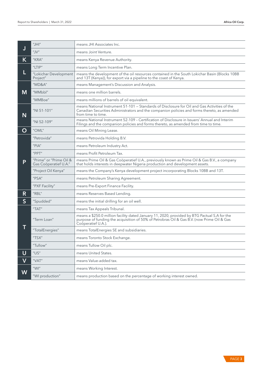|                | $^{\prime\prime}$ JHI $^{\prime\prime}$          | means JHI Associates Inc.                                                                                                                                                                                         |  |  |  |
|----------------|--------------------------------------------------|-------------------------------------------------------------------------------------------------------------------------------------------------------------------------------------------------------------------|--|--|--|
| J              | "J $V$ "                                         | means Joint Venture.                                                                                                                                                                                              |  |  |  |
| K              | "KRA"                                            | means Kenya Revenue Authority.                                                                                                                                                                                    |  |  |  |
|                | "LTIP"                                           | means Long Term Incentive Plan.                                                                                                                                                                                   |  |  |  |
| L              | "Lokichar Development<br>Project"                | means the development of the oil resources contained in the South Lokichar Basin (Blocks 10BB<br>and 13T (Kenya)), for export via a pipeline to the coast of Kenya.                                               |  |  |  |
|                | $H$ MD&A $H$                                     | means Management's Discussion and Analysis.                                                                                                                                                                       |  |  |  |
| M              | "MMbbl"                                          | means one million barrels.                                                                                                                                                                                        |  |  |  |
|                | "MMBoe"                                          | means millions of barrels of oil equivalent.                                                                                                                                                                      |  |  |  |
| N              | "NI 51-101"                                      | means National Instrument 51-101 - Standards of Disclosure for Oil and Gas Activities of the<br>Canadian Securities Administrators and the companion policies and forms thereto, as amended<br>from time to time. |  |  |  |
|                | "NI 52-109"                                      | means National Instrument 52-109 - Certification of Disclosure in Issuers' Annual and Interim<br>Filings and the companion policies and forms thereto, as amended from time to time.                              |  |  |  |
| O              | "OML"                                            | means Oil Mining Lease.                                                                                                                                                                                           |  |  |  |
|                | "Petrovida"                                      | means Petrovida Holding B.V.                                                                                                                                                                                      |  |  |  |
|                | "PIA"                                            | means Petroleum Industry Act.                                                                                                                                                                                     |  |  |  |
|                | "PPT"                                            | means Profit Petroleum Tax.                                                                                                                                                                                       |  |  |  |
| P              | "Prime" or "Prime Oil &<br>Gas Coöperatief U.A." | means Prime Oil & Gas Coöperatief U.A., previously known as Prime Oil & Gas B.V., a company<br>that holds interests in deepwater Nigeria production and development assets.                                       |  |  |  |
|                | "Project Oil Kenya"                              | means the Company's Kenya development project incorporating Blocks 10BB and 13T.                                                                                                                                  |  |  |  |
|                | "PSA"                                            | means Petroleum Sharing Agreement.                                                                                                                                                                                |  |  |  |
|                | "PXF Facility"                                   | means Pre-Export Finance Facility.                                                                                                                                                                                |  |  |  |
| R              | "RBL"                                            | means Reserves Based Lending.                                                                                                                                                                                     |  |  |  |
| S              | "Spudded"                                        | means the initial drilling for an oil well.                                                                                                                                                                       |  |  |  |
|                | "TAT"                                            | means Tax Appeals Tribunal.                                                                                                                                                                                       |  |  |  |
|                | "Term Loan"                                      | means a \$250.0 million facility dated January 11, 2020, provided by BTG Pactual S.A for the<br>purpose of funding the acquisition of 50% of Petrobras Oil & Gas B.V. (now Prime Oil & Gas<br>Coöperatief U.A.).  |  |  |  |
| ī              | "TotalEnergies"                                  | means TotalEnergies SE and subsidiaries.                                                                                                                                                                          |  |  |  |
|                | "TSX"                                            | means Toronto Stock Exchange.                                                                                                                                                                                     |  |  |  |
|                | "Tullow"                                         | means Tullow Oil plc.                                                                                                                                                                                             |  |  |  |
| $\overline{U}$ | $^{\prime\prime} \cup S^{\prime\prime}$          | means United States.                                                                                                                                                                                              |  |  |  |
| $\mathbf V$    | "VAT"                                            | means Value-added tax.                                                                                                                                                                                            |  |  |  |
|                | $^{\prime\prime}$ WI $^{\prime\prime}$           | means Working Interest.                                                                                                                                                                                           |  |  |  |
| W              | "WI production"                                  | means production based on the percentage of working interest owned.                                                                                                                                               |  |  |  |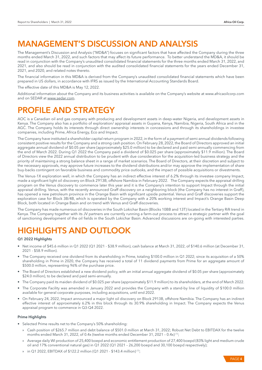# MANAGEMENT'S DISCUSSION AND ANALYSIS

The Management's Discussion and Analysis ("MD&A") focuses on significant factors that have affected the Company during the three months ended March 31, 2022, and such factors that may affect its future performance. To better understand the MD&A, it should be read in conjunction with the Company's unaudited consolidated financial statements for the three months ended March 31, 2022, and 2021, and also should be read in conjunction with the audited consolidated financial statements for the years ended December 31, 2021, and 2020, and related notes thereto.

The financial information in this MD&A is derived from the Company's unaudited consolidated financial statements which have been prepared in US dollars, in accordance with IFRS as issued by the International Accounting Standards Board.

The effective date of this MD&A is May 12, 2022.

Additional information about the Company and its business activities is available on the Company's website at www.africaoilcorp.com and on SEDAR at www.sedar.com.

# PROFILE AND STRATEGY

AOC is a Canadian oil and gas company with producing and development assets in deep-water Nigeria, and development assets in Kenya. The Company also has a portfolio of exploration/ appraisal assets in Guyana, Kenya, Namibia, Nigeria, South Africa and in the AGC. The Company holds its interests through direct ownership interests in concessions and through its shareholdings in investee companies, including Prime, Africa Energy, Eco and Impact.

The Company have instituted a shareholder capital return program in 2022, in the form of a payment of semi-annual dividends following consistent positive results for the Company and a strong cash position. On February 28, 2022, the Board of Directors approved an initial aggregate annual dividend of \$0.05 per share (approximately \$25.0 million) to be declared and paid semi-annually commencing from the end of March 2022. During Q1 2022 the Company paid a dividend of \$0.025 per share (approximately \$11.9 million). The Board of Directors view the 2022 annual distribution to be prudent with due consideration for the acquisition-led business strategy and the priority of maintaining a strong balance sheet in a range of market scenarios. The Board of Directors, at their discretion and subject to the necessary approvals, may approve future increases to the dividend distributions and/or may approve the implementation of share buy-backs contingent on favorable business and commodity price outlooks, and the impact of possible acquisitions or divestments.

The Venus-1X exploration well, in which the Company has an indirect effective interest of 6.2% through its investee company Impact, made a significant light oil discovery on Block 2913B, offshore Namibia in February 2022. The Company expects the appraisal drilling program on the Venus discovery to commence later this year and it is the Company's intention to support Impact through the initial appraisal drilling. Venus, with the recently announced Graff discovery on a neighboring block (the Company has no interest in Graff), has opened a new petroleum province in the Orange Basin with significant upside potential. Venus and Graff discoveries support the exploration case for Block 3B/4B, which is operated by the Company with a 20% working interest and Impact's Orange Basin Deep Block, both located in Orange Basin and on trend with Venus and Graff discoveries.

The Company has made numerous oil discoveries in the South Lokichar Basin (Blocks 10BB and 13T) located in the Tertiary Rift trend in Kenya. The Company together with its JV partners are currently running a farm-out process to attract a strategic partner with the goal of sanctioning development of the oil fields in the South Lokichar Basin. Advanced discussions are on-going with interested parties.

# HIGHLIGHTS AND OUTLOOK

## Q1 2022 Highlights

- Net income of \$45.6 million in Q1 2022 (Q1 2021 \$38.9 million), cash balance at March 31, 2022, of \$140.6 million (at December 31, 2021 - \$58.9 million).
- The Company received one dividend from its shareholding in Prime, totaling \$100.0 million in Q1 2022; since its acquisition of a 50% shareholding in Prime in 2020, the Company has received a total of 11 dividend payments from Prime for an aggregate amount of \$500.0 million, representing 96% of the purchase price.
- The Board of Directors established a new dividend policy, with an initial annual aggregate dividend of \$0.05 per share (approximately \$24.0 million), to be declared and paid semi-annually.
- The Company paid its maiden dividend of \$0.025 per share (approximately \$11.9 million) to its shareholders, at the end of March 2022.
- The Corporate Facility was amended in January 2022 and provides the Company with a stand-by line of liquidity of \$100.0 million available for general corporate purposes, including acquisitions, until end 2022.
- On February 24, 2022, Impact announced a major light oil discovery on Block 2913B, offshore Namibia. The Company has an indirect effective interest of approximately 6.2% in this block through its 30.9% shareholding in Impact. The Company expects the Venus appraisal program to commence in Q3-Q4 2022.

#### Prime Highlights

- Selected Prime results net to the Company's 50% shareholding:
	- » Cash position of \$265.7 million and debt balance of \$501.0 million at March 31, 2022; Robust Net Debt to EBITDAX for the twelve months ended March 31, 2022, of 0.4x (twelve months ended December 31, 2021 - 0.4x)<sup>(1)</sup>;
	- » Average daily WI production of 25,400 boepd and economic entitlement production of 27,400 boepd (83% light and medium crude oil and 17% conventional natural gas) in Q1 2022 (Q1 2021 – 26,200 boepd and 30,100 boepd respectively);
	- » in Q1 2022, EBITDAX of \$122.2 million (Q1 2021 \$143.4 million) (1);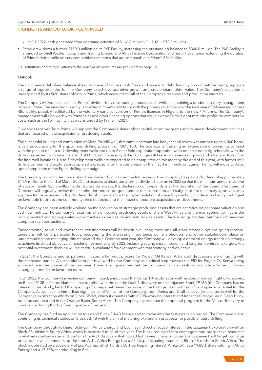## HIGHLIGHTS AND OUTLOOK - CONTINUED

- » in Q1 2022, cash generated from operating activities of \$116.6 million (Q1 2021 \$78.8 million).
- Prime drew down a further \$150.0 million on its PXF Facility, increasing the outstanding balance to \$300.0 million. The PXF Facility is arranged by Shell Western Supply and Trading Limited and Africa Finance Corporation and has a 7-year tenor, extending the duration of Prime's debt profile on very competitive cost terms that are comparable to Prime's RBL facility.
- (1) Definitions and reconciliations to the non-GAAP measures are provided on page 12.

#### Outlook

The Company's debt-free balance sheet, its share of Prime's cash flows and access to debt funding on competitive terms, supports a range of opportunities for the Company to achieve accretive growth and create shareholder value. The Company's valuation is underpinned by its 50% shareholding in Prime, which accounts for all of the Company's reserves and production interests.

The Company will work to maximize Prime's dividends by distributing its excess cash, whilst maintaining a prudent treasury management policy at Prime. The near-term priority is to extend Prime's debt tenor with the primary objective over the next year of refinancing Prime's RBL facility, possibly facilitated by the voluntary early conversion of Prime's licenses in Nigeria to the new PIA terms. The Company's management will also work with Prime to assess other financing options that could extend Prime's debt maturity profile on competitive costs, such as the PXF facility that was arranged by Prime in 2021.

Dividends received from Prime will support the Company's shareholder capital return programs and business development activities that are focused on the acquisition of producing assets.

The successful drilling and completion of Akpo-P4 infill well, that came onstream late last year and which was ramped up to 6,000 bopd, is very encouraging for the upcoming drilling program on OML 130. The operator is finalizing an extendable one-year rig contract with the plan to drill up to 9 development wells and up to 2 near field exploration/appraisal wells on the current rig schedule, with the drilling expected to commence at end of Q3 2022. Processing of the 2021 Egina 4D seismic survey is ongoing and is helping to confirm the final well locations. Up to 3 development wells are expected to be completed on the asset by the end of this year, with further infill drilling or near field exploration/appraisal expected after the completion of the first 3 infill wells on Egina. The rig will move to Akpo upon completion of the Egina drilling campaign.

The Company is committed to a sustainable dividend policy over the future years. The Company has paid a dividend of approximately \$11.9 million at the end of March 2022 and expects to distribute a further dividend later on in 2022 so that the minimum annual dividend of approximately \$25.0 million is distributed. As always, the declaration of dividends is at the discretion of the Board. The Board of Directors will regularly review the shareholder returns program and at their discretion and subject to the necessary approvals, may approve future increases to the dividend distributions and/or the implementation of share buy-backs. Such decision being contingent on favorable business and commodity price outlooks, and the impact of possible acquisitions or divestments.

The Company has been actively working on the acquisition of strategic producing assets that are accretive on per share valuation and cashflow metrics. The Company's focus remains on buying producing assets offshore West Africa and the management will consider both operated and non-operated opportunities as well as oil and natural gas assets. There is no guarantee that the Company can complete such transactions.

Environmental, social and governance considerations will be key in evaluating these and all other strategic options going forward. Emissions will be a particular focus, recognizing the increasing importance our shareholders and other stakeholders place on understanding and managing climate-related risks. Over the next year, the Company will develop a detailed energy transition strategy to achieve its stated objective of reaching net neutrality by 2025, including setting short, medium and long-term emissions targets. Any potential investment decision will be carefully evaluated for alignment with that strategy and objective.

In 2021, the Company and its partners initiated a farm-out process for Project Oil Kenya. Advanced discussions are on-going with the interested parties. A successful farm-out is viewed by the Company as a critical step towards the FID for Project Oil Kenya being achieved over the course of the next year. There is no guarantee that the Company can successfully conclude a farm-out to new strategic partner(s) on favorable terms.

In Q1 2022, the Company's investee company, Impact, announced that Venus 1-X exploration well resulted in a major light oil discovery on Block 2913B, offshore Namibia, that together with the nearby Graff-1 discovery on the adjacent Block 2913A (the Company has no interest in this block), herald the opening of a major petroleum province in the Orange Basin with significant upside potential for the Company. As well as the immediate significance of Venus for the Company, both Venus and Graff discoveries also bode well for the Company's exploration efforts on Block 3B/4B, which it operates with a 20% working interest and Impact's Orange Basin Deep Block, both located on trend in the Orange Basin, South Africa. The Company expects that the appraisal program for the Venus discovery to commence during third or fourth quarter of this year.

The Company has filed an application to extend Block 3B/4B license and to move into the first extension period. The Company is also continuing its technical studies on Block 3B/4B with the aim of maturing exploration prospects for possible future drilling.

The Company, through its shareholdings in Africa Energy and Eco, has indirect effective interest in the Gazania-1 exploration well on Block 2B, offshore South Africa, which is expected to spud this year. The block has significant contingent and prospective resources in relatively shallow water and contains the A-J1 discovery that flowed light sweet crude oil to surface. Gazania-1 will target two large prospects seven kilometers up-dip from A-J1. Africa Energy has a 27.5% participating interest in Block 2B offshore South Africa. The block is operated by a subsidiary of Eco Atlantic, which holds a 50% participating interest. Africa Oil has a 19.80% shareholding in Africa Energy and a 17.73% shareholding in Eco.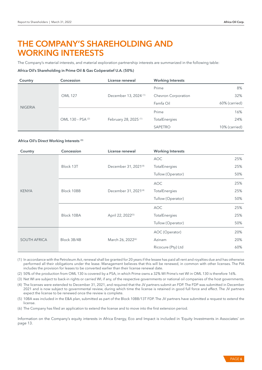# THE COMPANY'S SHAREHOLDING AND WORKING INTERESTS

The Company's material interests, and material exploration partnership interests are summarized in the following table:

#### Africa Oil's Shareholding in Prime Oil & Gas Coöperatief U.A. (50%)

| Country        | Concession        | License renewal                  | <b>Working Interests</b> |               |
|----------------|-------------------|----------------------------------|--------------------------|---------------|
|                |                   |                                  | Prime                    | 8%            |
|                | <b>OML127</b>     | December 13, 2024 <sup>(1)</sup> | Chevron Corporation      | 32%           |
|                |                   |                                  | Famfa Oil                | 60% (carried) |
| <b>NIGERIA</b> | OML 130 - PSA (2) |                                  | Prime                    | 16%           |
|                |                   | February 28, 2025 <sup>(1)</sup> | TotalEnergies            | 24%           |
|                |                   |                                  | SAPETRO                  | 10% (carried) |

#### Africa Oil's Direct Working Interests (3)

| Country             | Concession  | License renewal                  | <b>Working Interests</b> |     |
|---------------------|-------------|----------------------------------|--------------------------|-----|
|                     |             |                                  | <b>AOC</b>               | 25% |
|                     | Block 13T   | December 31, 2021 <sup>(4)</sup> | TotalEnergies            | 25% |
|                     |             |                                  | Tullow (Operator)        | 50% |
|                     |             |                                  | <b>AOC</b>               | 25% |
| <b>KENYA</b>        | Block 10BB  | December 31, 2021 <sup>(4)</sup> | TotalEnergies            | 25% |
|                     |             |                                  | Tullow (Operator)        | 50% |
|                     | Block 10BA  |                                  | <b>AOC</b>               | 25% |
|                     |             | April 22, 2022 <sup>(5)</sup>    | TotalEnergies            | 25% |
|                     |             |                                  | Tullow (Operator)        | 50% |
|                     | Block 3B/4B |                                  | AOC (Operator)           | 20% |
| <b>SOUTH AFRICA</b> |             | March 26, 2022 <sup>(6)</sup>    | Azinam                   | 20% |
|                     |             |                                  | Ricocure (Pty) Ltd       | 60% |

(1) In accordance with the Petroleum Act, renewal shall be granted for 20 years if the lessee has paid all rent and royalties due and has otherwise performed all their obligations under the lease. Management believes that this will be renewed, in common with other licenses. The PIA includes the provision for leases to be converted earlier than their license renewal date.

(2) 50% of the production from OML 130 is covered by a PSA, in which Prime owns a 32% WI Prime's net WI in OML 130 is therefore 16%.

(3) Net WI are subject to back-in rights or carried WI, if any, of the respective governments or national oil companies of the host governments.

(4) The licenses were extended to December 31, 2021, and required that the JV partners submit an FDP. The FDP was submitted in December 2021 and is now subject to governmental review, during which time the license is retained in good full force and effect. The JV partners expect the license to be renewed once the review is complete.

(5) 10BA was included in the E&A plan, submitted as part of the Block 10BB/13T FDP. The JV partners have submitted a request to extend the license.

(6) The Company has filed an application to extend the license and to move into the first extension period.

Information on the Company's equity interests in Africa Energy, Eco and Impact is included in 'Equity Investments in Associates' on page 13.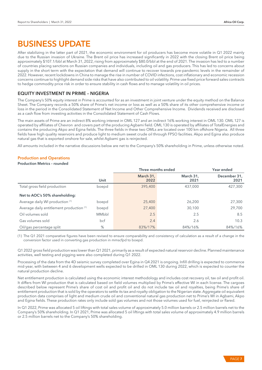# BUSINESS UPDATE

After stabilizing in the latter part of 2021, the economic environment for oil producers has become more volatile in Q1 2022 mainly due to the Russian invasion of Ukraine. The Brent oil price has increased significantly in 2022 with the closing Brent oil price being approximately \$107.1/bbl at March 31, 2022, rising from approximately \$80.0/bbl at the end of 2021. The invasion has led to a number of countries placing sanctions on Russian companies and individuals, including oil and gas producers. This has led to concerns about supply in the short term with the expectation that demand will continue to recover towards pre-pandemic levels in the remainder of 2022. However, recent lockdowns in China to manage the rise in number of COVID infections, cost inflationary and economic recession concerns continue to highlight demand side risks that have also contributed to oil volatility. Prime use fixed price forward sales contracts to hedge commodity price risk in order to ensure stability in cash flows and to manage volatility in oil prices.

# EQUITY INVESTMENT IN PRIME – NIGERIA

The Company's 50% equity interest in Prime is accounted for as an investment in joint venture under the equity method on the Balance Sheet. The Company records a 50% share of Prime's net income or loss as well as a 50% share of its other comprehensive income or loss in the period in the Consolidated Statement of Net Income and Other Comprehensive Income. Dividends received are disclosed as a cash flow from investing activities in the Consolidated Statement of Cash Flows.

The main assets of Prime are an indirect 8% working interest in OML 127 and an indirect 16% working interest in OML 130. OML 127 is operated by affiliates of Chevron and covers part of the producing Agbami field. OML 130 is operated by affiliates of TotalEnergies and contains the producing Akpo and Egina fields. The three fields in these two OMLs are located over 100 km offshore Nigeria. All three fields have high quality reservoirs and produce light to medium sweet crude oil through FPSO facilities. Akpo and Egina also produce natural gas that is exported onshore for sale, whilst Agbami gas is reinjected.

All amounts included in the narrative discussions below are net to the Company's 50% shareholding in Prime, unless otherwise noted.

# Production and Operations

#### Production Metrics – rounded

|                                          |       | Three months ended | Year ended        |                      |
|------------------------------------------|-------|--------------------|-------------------|----------------------|
|                                          | Unit  | March 31,<br>2022  | March 31,<br>2021 | December 31,<br>2021 |
| Total gross field production             | boepd | 395,400            | 437,000           | 427,300              |
| Net to AOC's 50% shareholding:           |       |                    |                   |                      |
| Average daily WI production (1)          | boepd | 25,400             | 26,200            | 27,300               |
| Average daily entitlement production (1) | boepd | 27,400             | 30,100            | 29,700               |
| Oil volumes sold                         | MMbbl | 2.5                | 2.5               | 8.5                  |
| Gas volumes sold                         | bcf   | 2.4                | 2.6               | 10.3                 |
| Oil/gas percentage split                 | %     | 83%/17%            | 84%/16%           | 84%/16%              |

(1) The Q1 2021 comparative figures have been revised to ensure comparability and consistency of calculation as a result of a change in the conversion factor used in converting gas production in mmscfpd to boepd.

Q1 2022 gross field production was lower than Q1 2021, primarily as a result of expected natural reservoir decline. Planned maintenance activities, well testing and pigging were also completed during Q1 2022.

Processing of the data from the 4D seismic survey completed over Egina in Q4 2021 is ongoing. Infill drilling is expected to commence mid-year, with between 4 and 6 development wells expected to be drilled in OML 130 during 2022, which is expected to counter the natural production decline.

Net entitlement production is calculated using the economic interest methodology and includes cost recovery oil, tax oil and profit oil. It differs from WI production that is calculated based on field volumes multiplied by Prime's effective WI in each license. The cargoes described below represent Prime's share of cost oil and profit oil and do not include tax oil and royalties, being Prime's share of entitlement production that is sold by the operators to settle its tax and royalty obligation to the Nigerian state. Aggregate oil equivalent production data comprises of light and medium crude oil and conventional natural gas production net to Prime's WI in Agbami, Akpo and Egina fields. These production rates only include sold gas volumes and not those volumes used for fuel, reinjected or flared.

In Q1 2022, Prime was allocated 5 oil liftings with total sales volume of approximately 5.0 million barrels or 2.5 million barrels net to the Company's 50% shareholding. In Q1 2021, Prime was allocated 5 oil liftings with total sales volume of approximately 4.9 million barrels or 2.5 million barrels net to the Company's 50% shareholding.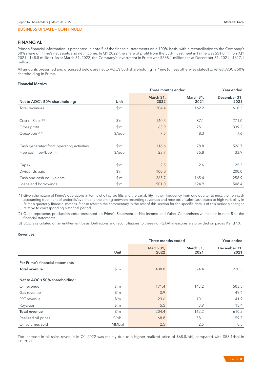# FINANCIAL

Prime's financial information is presented in note 5 of the financial statements on a 100% basis, with a reconciliation to the Company's 50% share of Prime's net assets and net income. In Q1 2022, the share of profit from the 50% investment in Prime was \$51.0 million (Q1 2021 - \$48.8 million). As at March 31, 2022, the Company's investment in Prime was \$568.1 million (as at December 31, 2021 - \$617.1 million).

All amounts presented and discussed below are net to AOC's 50% shareholding in Prime (unless otherwise stated) to reflect AOC's 50% shareholding in Prime.

#### Financial Metrics

|                                          |                             | Three months ended | Year ended               |                      |
|------------------------------------------|-----------------------------|--------------------|--------------------------|----------------------|
| Net to AOC's 50% shareholding:           | Unit                        | March 31,<br>2022  | March 31,<br>2021        | December 31,<br>2021 |
| Total revenues                           | $\frac{\text{S}}{\text{m}}$ | 204.4              | 162.2                    | 610.2                |
|                                          |                             |                    |                          |                      |
| Cost of Sales <sup>(1)</sup>             | $\frac{m}{2}$               | 140.5              | 87.1                     | 271.0                |
| Gross profit                             | $\mathsf{S}'$ m             | 63.9               | 75.1                     | 339.2                |
| Opex/boe <sup>(2,3)</sup>                | $$/$ boe                    | 7.5                | 8.3                      | 7.6                  |
|                                          |                             |                    |                          |                      |
| Cash generated from operating activities | $\mathsf{S}'\mathsf{m}$     | 116.6              | 78.8                     | 526.7                |
| Free cash flow/boe (1,3)                 | $$/$ boe                    | 23.7               | 35.8                     | 33.9                 |
|                                          |                             |                    |                          |                      |
| Capex                                    | $\mathsf{S}'\mathsf{m}$     | 2.5                | 2.6                      | 25.3                 |
| Dividends paid                           | $\mathsf{S}'\mathsf{m}$     | 100.0              | $\overline{\phantom{a}}$ | 200.0                |
| Cash and cash equivalents                | $\mathsf{S}'$ m             | 265.7              | 165.4                    | 258.9                |
| Loans and borrowings                     | $\mathsf{S}'\mathsf{m}$     | 501.0              | 624.9                    | 508.4                |

(1) Given the nature of Prime's operations in terms of oil cargo lifts and the variability in their frequency from one quarter to next, the non-cash accounting treatment of underlift/overlift and the timing between recording revenues and receipts of sales cash, leads to high variability in Prime's quarterly financial metrics. Please refer to the commentary in the rest of this section for the specific details of this period's changes relative to corresponding historical period.

(2) Opex represents production costs presented on Prime's Statement of Net Income and Other Comprehensive Income in note 5 to the financial statements

(3) BOE is calculated on an entitlement basis. Definitions and reconciliations to these non-GAAP measures are provided on pages 9 and 10.

#### Revenues

|                                  |               | Three months ended<br>Year ended |                   |                      |  |
|----------------------------------|---------------|----------------------------------|-------------------|----------------------|--|
|                                  | Unit          | March 31,<br>2022                | March 31,<br>2021 | December 31,<br>2021 |  |
| Per Prime's financial statements |               |                                  |                   |                      |  |
| <b>Total revenue</b>             | $\frac{m}{2}$ | 408.8                            | 324.4             | 1,220.3              |  |
| Net to AOC's 50% shareholding:   |               |                                  |                   |                      |  |
| Oil revenue                      | $\frac{m}{2}$ | 171.4                            | 143.2             | 503.5                |  |
| Gas revenue                      | $\frac{m}{2}$ | 3.9                              |                   | 49.4                 |  |
| PPT revenue                      | $\frac{m}{2}$ | 23.6                             | 10.1              | 41.9                 |  |
| Royalties                        | $\frac{m}{2}$ | 5.5                              | 8.9               | 15.4                 |  |
| <b>Total revenue</b>             | $\frac{m}{2}$ | 204.4                            | 162.2             | 610.2                |  |
| Realized oil prices              | \$/bbI        | 68.8                             | 58.1              | 59.3                 |  |
| Oil volumes sold                 | MMbbl         | 2.5                              | 2.5               | 8.5                  |  |

The increase in oil sales revenue in Q1 2022 was mainly due to a higher realized price of \$68.8/bbl, compared with \$58.1/bbl in Q1 2021.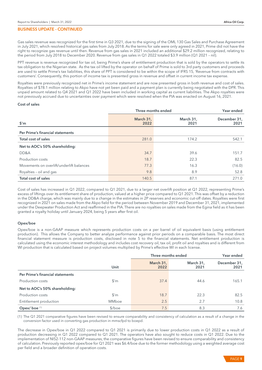Gas sales revenue was recognized for the first time in Q3 2021, due to the signing of the OML 130 Gas Sales and Purchase Agreement in July 2021, which resolved historical gas sales from July 2018. As the terms for sale were only agreed in 2021, Prime did not have the right to recognize gas revenue until then. Revenue from gas sales in 2021 included an additional \$29.2 million recognized, relating to the period from July 2018 to December 2020. Revenue from gas sales in Q1 2022 totaled \$3.9 million (Q1 2021 – nil).

PPT revenue is revenue recognized for tax oil, being Prime's share of entitlement production that is sold by the operators to settle its tax obligation to the Nigerian state. As the tax oil lifted by the operator on behalf of Prime is sold to 3rd party customers and proceeds are used to settle Prime's tax liabilities, this share of PPT is considered to be within the scope of IFRS 15, 'Revenue from contracts with customers'. Consequently, this portion of income tax is presented gross in revenue and offset in current income tax expense.

Royalties were previously recognized net in Prime's income statement and are now presented gross in both revenue and cost of sales. Royalties of \$78.1 million relating to Akpo have not yet been paid and a payment plan is currently being negotiated with the DPR. This unpaid amount related to Q4 2021 and Q1 2022 have been included in working capital as current liabilities. The Akpo royalties were not previously accrued due to uncertainties over payment which were resolved when the PIA was enacted on August 16, 2021.

#### Cost of sales

|                                          | Three months ended | Year ended        |                      |
|------------------------------------------|--------------------|-------------------|----------------------|
| $$^{\prime}$ m                           | March 31,<br>2022  | March 31,<br>2021 | December 31,<br>2021 |
| Per Prime's financial statements         |                    |                   |                      |
| Total cost of sales                      | 281.0              | 174.2             | 542.1                |
| Net to AOC's 50% shareholding:           |                    |                   |                      |
| DD&A                                     | 34.7               | 39.6              | 151.7                |
| Production costs                         | 18.7               | 22.3              | 82.5                 |
| Movements on overlift/underlift balances | 77.3               | 16.3              | (16.0)               |
| Royalties - oil and gas                  | 9.8                | 8.9               | 52.8                 |
| Total cost of sales                      | 140.5              | 87.1              | 271.0                |

Cost of sales has increased in Q1 2022, compared to Q1 2021, due to a larger net overlift position at Q1 2022, representing Prime's excess of liftings over its entitlement share of production, valued at a higher price compared to Q1 2021. This was offset by a reduction in the DD&A charge, which was mainly due to a change in the estimates in 2P reserves and economic cut-off dates. Royalties were first recognized in 2021 on sales made from the Akpo field for the period between November 2019 and December 31, 2021, implemented under the Deepwater Production Act and reaffirmed in the PIA. There are no royalties on sales made from the Egina field as it has been granted a royalty holiday until January 2024, being 5 years after first oil.

## Opex/boe

Opex/boe is a non-GAAP measure which represents production costs on a per barrel of oil equivalent basis (using entitlement production). This allows the Company to better analyze performance against prior periods on a comparable basis. The most direct financial statement measure is production costs, disclosed in note 5 to the financial statements. Net entitlement production is calculated using the economic interest methodology and includes cost recovery oil, tax oil, profit oil and royalties and is different from WI production that is calculated based on project volumes multiplied by Prime's effective WI in each license.

|                                  |                   | Three months ended |                   | Year ended           |
|----------------------------------|-------------------|--------------------|-------------------|----------------------|
|                                  | Unit              | March 31,<br>2022  | March 31,<br>2021 | December 31,<br>2021 |
| Per Prime's financial statements |                   |                    |                   |                      |
| Production costs                 | $\mathfrak{S}'$ m | 37.4               | 44.6              | 165.1                |
| Net to AOC's 50% shareholding:   |                   |                    |                   |                      |
| Production costs                 | $\frac{m}{2}$     | 18.7               | 22.3              | 82.5                 |
| Entitlement production           | MMboe             | 2.5                | 2.7               | 10.8                 |
| Opex/boe <sup>(1)</sup>          | $$/$ boe          | 7.5                | 8.3               | 7.6                  |

(1) The Q1 2021 comparative figures have been revised to ensure comparability and consistency of calculation as a result of a change in the conversion factor used in converting gas production in mmscfpd to boepd.

The decrease in Opex/boe in Q1 2022 compared to Q1 2021 is primarily due to lower production costs in Q1 2022 as a result of production decreasing in Q1 2022 compared to Q1 2021. The operators have also sought to reduce costs in Q1 2022. Due to the implementation of NI52-112 non-GAAP measures, the comparative figures have been revised to ensure comparability and consistency of calculation. Previously reported opex/boe for Q1 2021 was \$6.4/boe due to the former methodology using a weighted average cost per field and a broader definition of operation costs.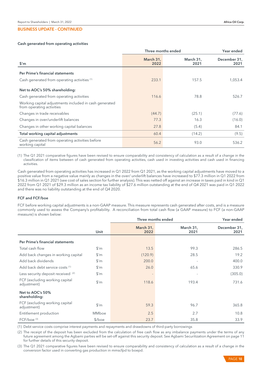#### Cash generated from operating activities

|                                                                                     | Three months ended |                   | Year ended           |
|-------------------------------------------------------------------------------------|--------------------|-------------------|----------------------|
| $$^{\prime}$ m                                                                      | March 31,<br>2022  | March 31,<br>2021 | December 31,<br>2021 |
| Per Prime's financial statements                                                    |                    |                   |                      |
| Cash generated from operating activities (1)                                        | 233.1              | 157.5             | 1,053.4              |
| Net to AOC's 50% shareholding:                                                      |                    |                   |                      |
| Cash generated from operating activities                                            | 116.6              | 78.8              | 526.7                |
| Working capital adjustments included in cash generated<br>from operating activities |                    |                   |                      |
| Changes in trade receivables                                                        | (44.7)             | (25.1)            | (77.6)               |
| Changes in over/underlift balances                                                  | 77.3               | 16.3              | (16.0)               |
| Changes in other working capital balances                                           | 27.8               | (5.4)             | 84.1                 |
| Total working capital adjustments                                                   | 60.4               | (14.2)            | (9.5)                |
| Cash generated from operating activities before<br>working capital                  | 56.2               | 93.0              | 536.2                |

(1) The Q1 2021 comparative figures have been revised to ensure comparability and consistency of calculation as a result of a change in the classification of items between of cash generated from operating activities, cash used in investing activities and cash used in financing activities.

Cash generated from operating activities has increased in Q1 2022 from Q1 2021, as the working capital adjustments have moved to a positive value from a negative value mainly as changes in the over/ underlift balances have increased to \$77.3 million in Q1 2022 from \$16.3 million in Q1 2021 (see cost of sales section for further analysis). This was netted off against an increase in taxes paid in kind in Q1 2022 from Q1 2021 of \$29.3 million as an income tax liability of \$27.6 million outstanding at the end of Q4 2021 was paid in Q1 2022 and there was no liability outstanding at the end of Q4 2020.

#### FCF and FCF/boe

FCF before working capital adjustments is a non-GAAP measure. This measure represents cash generated after costs, and is a measure commonly used to assess the Company's profitability. A reconciliation from total cash flow (a GAAP measure) to FCF (a non-GAAP measure) is shown below:

|                                               |                             | Three months ended<br>Year ended |                   |                      |
|-----------------------------------------------|-----------------------------|----------------------------------|-------------------|----------------------|
|                                               | Unit                        | March 31,<br>2022                | March 31,<br>2021 | December 31,<br>2021 |
| Per Prime's financial statements              |                             |                                  |                   |                      |
| Total cash flow                               | $\frac{m}{2}$               | 13.5                             | 99.3              | 286.5                |
| Add back changes in working capital           | $\frac{\text{S}}{\text{m}}$ | (120.9)                          | 28.5              | 19.2                 |
| Add back dividends                            | $\frac{m}{2}$               | 200.0                            |                   | 400.0                |
| Add back debt service costs (1)               | $\frac{\text{S}}{\text{m}}$ | 26.0                             | 65.6              | 330.9                |
| Less security deposit received (2)            | $\frac{\text{S}}{\text{m}}$ |                                  |                   | (305.0)              |
| FCF (excluding working capital<br>adjustment) | $\frac{m}{2}$               | 118.6                            | 193.4             | 731.6                |
| Net to AOC's 50%<br>shareholding:             |                             |                                  |                   |                      |
| FCF (excluding working capital<br>adjustment) | $\frac{m}{2}$               | 59.3                             | 96.7              | 365.8                |
| Entitlement production                        | <b>MMboe</b>                | 2.5                              | 2.7               | 10.8                 |
| FCF/boe <sup>(3)</sup>                        | $$/$ boe                    | 23.7                             | 35.8              | 33.9                 |

(1) Debt service costs comprise interest payments and repayments and drawdowns of third-party borrowings

(2) The receipt of the deposit has been excluded from the calculation of free cash flow as any imbalance payments under the terms of any future agreement among the Agbami parties will be set-off against this security deposit. See Agbami Securitization Agreement on page 11 for further details of this security deposit.

(3) The Q1 2021 comparative figures have been revised to ensure comparability and consistency of calculation as a result of a change in the conversion factor used in converting gas production in mmscfpd to boepd.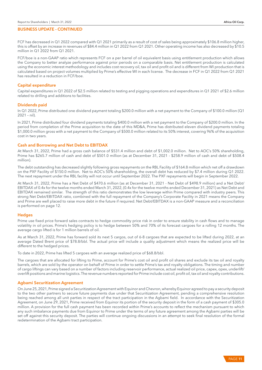FCF has decreased in Q1 2022 compared with Q1 2021 primarily as a result of cost of sales being approximately \$106.8 million higher, this is offset by an increase in revenues of \$84.4 million in Q1 2022 from Q1 2021. Other operating income has also decreased by \$10.5 million in Q1 2022 from Q1 2021.

FCF/boe is a non-GAAP ratio which represents FCF on a per barrel of oil equivalent basis using entitlement production which allows the Company to better analyze performance against prior periods on a comparable basis. Net entitlement production is calculated using the economic interest methodology and includes cost recovery oil, tax oil and profit oil and is different from WI production that is calculated based on project volumes multiplied by Prime's effective WI in each license. The decrease in FCF in Q1 2022 from Q1 2021 has resulted in a reduction in FCF/boe.

## Capital expenditure

Capital expenditures in Q1 2022 of \$2.5 million related to testing and pigging operations and expenditures in Q1 2021 of \$2.6 million related to drilling and additions to facilities.

## Dividends paid

In Q1 2022, Prime distributed one dividend payment totaling \$200.0 million with a net payment to the Company of \$100.0 million (Q1 2021 – nil).

In 2021, Prime distributed four dividend payments totaling \$400.0 million with a net payment to the Company of \$200.0 million. In the period from completion of the Prime acquisition to the date of this MD&A, Prime has distributed eleven dividend payments totaling \$1,000.0 million gross with a net payment to the Company of \$500.0 million related to its 50% interest, covering 96% of the acquisition cost in two years.

## Cash and Borrowing and Net Debt to EBITDAX

At March 31, 2022, Prime had a gross cash balance of \$531.4 million and debt of \$1,002.0 million. Net to AOC's 50% shareholding, Prime has \$265.7 million of cash and debt of \$501.0 million (as at December 31, 2021 - \$258.9 million of cash and debt of \$508.4 million).

The debt outstanding has decreased slightly following gross repayments on the RBL Facility of \$164.8 million which net off a drawdown on the PXF Facility of \$150.0 million. Net to AOC's 50% shareholding, the overall debt has reduced by \$7.4 million during Q1 2022. The next repayment under the RBL facility will not occur until September 2022. The PXF repayments will begin in September 2022.

At March 31, 2022, Prime has a Net Debt of \$470.6 million (as at December 31, 2021 - Net Debt of \$498.9 million) and a Net Debt/ EBITDAX of 0.4x for the twelve months ended March 31, 2022, (0.4x for the twelve months ended December 31, 2021) as Net Debt and EBITDAX remained similar. The strength of this ratio demonstrates the low leverage within Prime compared with industry peers. This strong Net Debt/EBITDAX ratio, combined with the full repayment of the Company's Corporate Facility in 2021 means the Company and Prime are well placed to raise more debt in the future if required. Net Debt/EBITDAX is a non-GAAP measure and a reconciliation is performed on page 12.

## **Hedges**

Prime use fixed price forward sales contracts to hedge commodity price risk in order to ensure stability in cash flows and to manage volatility in oil prices. Prime's hedging policy is to hedge between 50% and 70% of its forecast cargoes for a rolling 12 months. The average cargo lifted is for 1 million barrels of oil.

As at March 31, 2022, Prime has forward sold its next 5 cargos, out of 6-8 cargoes that are expected to be lifted during 2022, at an average Dated Brent price of \$78.8/bbl. The actual price will include a quality adjustment which means the realized price will be different to the hedged prices.

To date in 2022, Prime has lifted 5 cargoes with an average realized price of \$68.8/bbl.

The cargoes that are allocated for lifting to Prime, account for Prime's cost oil and profit oil shares and exclude its tax oil and royalty barrels, which are sold by the operator on behalf of Prime in order to settle Prime's tax and royalty obligations. The timing and number of cargo liftings can vary based on a number of factors including reservoir performance, actual realized oil price, capex, opex, underlift/ overlift positions and marine logistics. The revenue numbers reported for Prime include cost oil, profit oil, tax oil and royalty contributions.

## Agbami Securitization Agreement

On June 25, 2021, Prime signed a Securitization Agreement with Equinor and Chevron, whereby Equinor agreed to pay a security deposit to the two other partners to secure future payments due under that Securitization Agreement, pending a comprehensive resolution being reached among all unit parties in respect of the tract participation in the Agbami field. In accordance with the Securitization Agreement, on June 29, 2021, Prime received from Equinor its portion of the security deposit in the form of a cash payment of \$305.0 million. A provision for the full cash payment has been recorded within Prime's accounts to reflect the mechanism pursuant to which any such imbalance payments due from Equinor to Prime under the terms of any future agreement among the Agbami parties will be set off against this security deposit. The parties will continue ongoing discussions in an attempt to seek final resolution of the formal redetermination of the Agbami tract participation.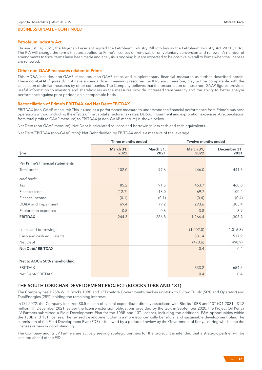#### Petroleum Industry Act

On August 16, 2021, the Nigerian President signed the Petroleum Industry Bill into law as the Petroleum Industry Act 2021 ("PIA"). The PIA will change the terms that are applied to Prime's licenses on renewal, or on voluntary conversion and renewal. A number of amendments to fiscal terms have been made and analysis is ongoing but are expected to be positive overall to Prime when the licenses are renewed.

#### Other non-GAAP measures related to Prime

This MD&A includes non-GAAP measures, non-GAAP ratios and supplementary financial measures as further described herein. These non-GAAP figures do not have a standardized meaning prescribed by IFRS and, therefore, may not be comparable with the calculation of similar measures by other companies. The Company believes that the presentation of these non-GAAP figures provides useful information to investors and shareholders as the measures provide increased transparency and the ability to better analyze performance against prior periods on a comparable basis.

#### Reconciliation of Prime's EBITDAX and Net Debt/EBITDAX

EBITDAX (non-GAAP measure): This is used as a performance measure to understand the financial performance from Prime's business operations without including the effects of the capital structure, tax rates, DD&A, impairment and exploration expenses. A reconciliation from total profit (a GAAP measure) to EBITDAX (a non-GAAP measure) is shown below.

Net Debt (non-GAAP measure): Net Debt is calculated as loans and borrowings less cash and cash equivalents.

Net Debt/EBITDAX (non-GAAP ratio): Net Debt divided by EBITDAX and is a measure of the leverage.

|                                  | Three months ended |                   | Twelve months ended |                      |  |
|----------------------------------|--------------------|-------------------|---------------------|----------------------|--|
| $$^{\prime}$ m                   | March 31,<br>2022  | March 31,<br>2021 | March 31,<br>2022   | December 31,<br>2021 |  |
| Per Prime's financial statements |                    |                   |                     |                      |  |
| Total profit                     | 102.0              | 97.6              | 446.0               | 441.6                |  |
| Add back:                        |                    |                   |                     |                      |  |
| Tax                              | 85.2               | 91.5              | 453.7               | 460.0                |  |
| Finance costs                    | (12.7)             | 18.0              | 69.7                | 100.4                |  |
| Finance income                   | (0.1)              | (0.1)             | (0.4)               | (0.4)                |  |
| DD&A and Impairment              | 69.4               | 79.2              | 293.6               | 303.4                |  |
| <b>Exploration expenses</b>      | 0.5                | 0.6               | 3.8                 | 3.9                  |  |
| <b>EBITDAX</b>                   | 244.3              | 286.8             | 1,266.4             | 1,308.9              |  |
|                                  |                    |                   |                     |                      |  |
| Loans and borrowings             |                    |                   | (1,002.0)           | (1,016.8)            |  |
| Cash and cash equivalents        |                    |                   | 531.4               | 517.9                |  |
| Net Debt                         |                    |                   | (470.6)             | (498.9)              |  |
| Net Debt/ EBITDAX                |                    |                   | 0.4                 | 0.4                  |  |
|                                  |                    |                   |                     |                      |  |
| Net to AOC's 50% shareholding:   |                    |                   |                     |                      |  |
| <b>EBITDAX</b>                   |                    |                   | 633.2               | 654.5                |  |
| Net Debt/ EBITDAX                |                    |                   | 0.4                 | 0.4                  |  |

# THE SOUTH LOKICHAR DEVELOPMENT PROJECT (BLOCKS 10BB AND 13T)

The Company has a 25% WI in Blocks 10BB and 13T (before Government's back-in rights) with Tullow Oil plc (50% and Operator) and TotalEnergies (25%) holding the remaining interests.

In Q1 2022, the Company incurred \$0.5 million of capital expenditure directly associated with Blocks 10BB and 13T (Q1 2021 - \$1.2 million). In December 2021, as per the license extension obligations provided by the GoK in September 2020, the Project Oil Kenya JV Partners submitted a Field Development Plan for the 10BB and 13T licenses, including the additional E&A opportunities within the 10BB and 13T licenses. The revised development plan is a more economically beneficial and sustainable development plan. The submission of the Field Development Plan (FDP) is followed by a period of review by the Government of Kenya, during which time the licenses remain in good standing.

The Company and its JV Partners are actively seeking strategic partners for the project. It is intended that a strategic partner will be secured ahead of the FID.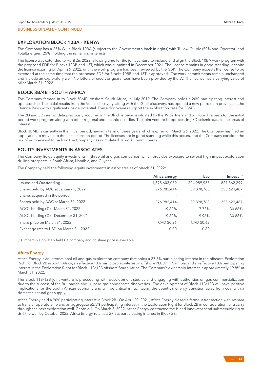## EXPLORATION BLOCK 10BA – KENYA

The Company has a 25% WI in Block 10BA (subject to the Government's back-in rights) with Tullow Oil plc (50% and Operator) and TotalEnergies (25%) holding the remaining interests.

The license was extended to April 26, 2022, allowing time for the joint venture to include and align the Block 10BA work program with the proposed FDP for Blocks 10BB and 13T, which was submitted in December 2021. The license remains in good standing, despite the license expiring on April 26, 2022, until the work program has been reviewed by the GoK. The Company expects the license to be extended at the same time that the proposed FDP for Blocks 10BB and 13T is approved. The work commitments remain unchanged and include an exploratory well. No letters of credit or guarantees have been provided by the JV. The license has a carrying value of nil at March 31, 2022.

# BLOCK 3B/4B – SOUTH AFRICA

The Company farmed in to Block 3B/4B, offshore South Africa, in July 2019. The Company holds a 20% participating interest and operatorship. The initial results from the Venus discovery, along with the Graff discovery, has opened a new petroleum province in the Orange Basin with significant upside potential. These discoveries support the exploration case for 3B/4B.

The 2D and 3D seismic data previously acquired in the Block is being evaluated by the JV partners and will form the basis for the initial period work program along with other regional and technical studies. The joint venture is reprocessing 3D seismic data in the areas of interest.

Block 3B/4B is currently in the initial period, having a term of three years which expired on March 26, 2022. The Company has filed an application to move into the first extension period. The licenses are in good standing while this occurs, and the Company consider the risk of non-renewal to be low. The Company has completed its work commitments.

# EQUITY INVESTMENTS IN ASSOCIATES

The Company holds equity investments in three oil and gas companies, which provides exposure to several high-impact exploration drilling prospects in South Africa, Namibia, and Guyana.

The Company held the following equity investments in associates as of March 31, 2022:

|                                        | <b>Africa Energy</b> | Eco         | Impact $(1)$ |
|----------------------------------------|----------------------|-------------|--------------|
| Issued and Outstanding                 | 1,398,603,039        | 224,989,935 | 827,862,299  |
| Shares held by AOC at January 1, 2022  | 276,982,414          | 39,898,763  | 255,629,487  |
| Shares acquired in the period          |                      |             |              |
| Shares held by AOC at March 31, 2022   | 276,982,414          | 39,898,763  | 255,629,487  |
| AOC's holding (%) - March 31, 2022     | 19.80%               | 17.73%      | 30.88%       |
| AOC's holding (%) - December 31, 2021  | 19.80%               | 19.96%      | 30.88%       |
| Share price on March 31, 2022          | CAD \$0.26           | CAD \$0.62  |              |
| Exchange rate to USD on March 31, 2022 | 0.80                 | 0.80        |              |

(1) Impact is a privately held UK company and no share price is available.

## Africa Energy

Africa Energy is an international oil and gas exploration company that holds a 27.5% participating interest in the offshore Exploration Right for Block 2B in South Africa, an effective 10% participating interest in offshore PEL 37 in Namibia, and an effective 10% participating interest in the Exploration Right for Block 11B/12B offshore South Africa. The Company's ownership interest is approximately 19.8% at March 31, 2022.

The Block 11B/12B joint venture is proceeding with development studies and engaging with authorities on gas commercialization due to the success of the Brulpadda and Luiperd gas condensate discoveries. The development of Block 11B/12B will have positive implications for the South African economy and will be critical in facilitating the country's energy transition away from coal with a domestic natural gas supply.

Africa Energy held a 90% participating interest in Block 2B. On April 20, 2021, Africa Energy closed a farmout transaction with Azinam to transfer operatorship and an aggregate 62.5% participating interest in the Exploration Right for Block 2B in consideration for a carry through the next exploration well, Gazania-1. On March 3, 2022, Africa Energy contracted the Island Innovator semi-submersible rig to drill the well by October 2022. Africa Energy retains a 27.5% participating interest in Block 2B.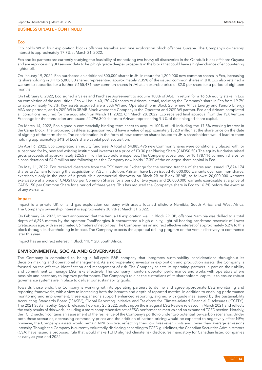# Eco

Eco holds WI in four exploration blocks offshore Namibia and one exploration block offshore Guyana. The Company's ownership interest is approximately 17.7% at March 31, 2022.

Eco and its partners are currently studying the feasibility of monetizing two heavy oil discoveries in the Orinduik block offshore Guyana and are reprocessing 3D seismic data to help high grade deeper prospects in the block that could have a higher chance of encountering lighter oil.

On January 19, 2022, Eco purchased an additional 800,000 shares in JHI in return for 1,200,000 new common shares in Eco, increasing its shareholding in JHI to 5,800,00 shares, representing approximately 7.35% of the issued common shares in JHI. Eco also retained a warrant to subscribe for a further 9,155,471 new common shares in JHI at an exercise price of \$2.0 per share for a period of eighteen months.

On February 8, 2022, Eco signed a Sales and Purchase Agreement to acquire 100% of AGL, in return for a 16.6% equity stake in Eco on completion of the acquisition. Eco will issue 40,170,474 shares to Azinam in total, reducing the Company's share in Eco from 19.7% to approximately 16.3%. Key assets acquired are a 50% WI and Operatorship in Block 2B, where Africa Energy and Panoro Energy ASA are partners, and a 20% WI in 3B/4B Block where the Company is the Operator and 20% WI partner. Eco and Azinam completed all conditions required for the acquisition on March 11, 2022. On March 28, 2022, Eco received final approval from the TSX Venture Exchange for the transaction and issued 22,296,300 shares to Azinam representing 9.9% of the enlarged share capital.

On March 14, 2022, Eco signed a commercially binding term sheet to acquire 100% of JHI including the 17.5% working interest in the Canje Block. The proposed cashless acquisition would have a value of approximately \$52.0 million at the share price on the date of signing of the term sheet. The consideration in the form of new common shares issued to JHI's shareholders would lead to them holding approximately 34% of Eco's share capital post acquisition.

On April 6, 2022, Eco completed an equity fundraise. A total of 64,885,496 new Common Shares were conditionally placed with, or subscribed for by, new and existing institutional investors at a price of £0.30 per Placing Share (CAD\$0.50). The equity fundraise raised gross proceeds of approximately \$25.5 million for Eco before expenses. The Company subscribed for 10,178,116 common shares for a consideration of \$4.0 million and following this the Company now holds 17.3% of the enlarged share capital in Eco.

On May 11, 2022, Eco received clearance from the TSX Venture Exchange for the second tranche of shares and issued 17,874,174 shares to Azinam following the acquisition of AGL. In addition, Azinam have been issued 40,000,000 warrants over common shares, exercisable only in the case of a producible commercial discovery on Block 2B or Block 3B/4B, as follows: 20,000,000 warrants exercisable at a price of CAD\$1.00 per Common Shares for a period of two years and 20,000,000 warrants exercisable at a price of CAD\$1.50 per Common Share for a period of three years. This has reduced the Company's share in Eco to 16.3% before the exercise of any warrants.

## Impact

Impact is a private UK oil and gas exploration company with assets located offshore Namibia, South Africa and West Africa. The Company's ownership interest is approximately 30.9% at March 31, 2022.

On February 24, 2022, Impact announced that the Venus-1X exploration well in Block 2913B, offshore Namibia was drilled to a total depth of 6,296 meters by the operator TotalEnergies. It encountered a high-quality, light oil-bearing sandstone reservoir of Lower Cretaceous age, with an estimated 86 meters of net oil pay. The Company has an indirect effective interest of approximately 6.2% to this block through its shareholding in Impact. The Company expects the appraisal drilling program on the Venus discovery to commence later this year.

Impact has an indirect interest in Block 11B/12B, South Africa.

# ENVIRONMENTAL, SOCIAL AND GOVERNANCE

The Company is committed to being a full-cycle E&P company that integrates sustainability considerations throughout its decision making and operational management. As a non-operating investor in exploration and production assets, the Company is focused on the effective identification and management of risk. The Company selects its operating partners in part on their ability and commitment to manage ESG risks effectively. The Company monitors operator performance and works with operators where possible and necessary to improve performance. The Company's role as the custodians of its shareholders' capital is to ensure robust governance systems are in place to deliver our sustainability goals.

Towards those ends, the Company is working with its operating partners to define and agree appropriate ESG monitoring and reporting frameworks, with a view to increasing both the breadth and depth of reported metrics. In addition to enabling performance monitoring and improvement, these expansions support enhanced reporting, aligned with guidelines issued by the Sustainability Accounting Standards Board ("SASB"), Global Reporting Initiative and Taskforce for Climate-related Financial Disclosures ("TCFD"). The 2021 Sustainability Report, released February 28, 2022, builds upon the inaugural ESG Review released in March 2021 and reflects the early results of this work, including a more comprehensive set of ESG performance metrics and an expanded TCFD section. Notably, the TCFD section contains an assessment of the resilience of the Company's portfolio under two potential low-carbon scenarios. Under both these scenarios, decreasing commodity prices and the addition of carbon pricing would be expected to negatively affect NPV; however, the Company's assets would remain NPV positive, reflecting their low breakeven costs and lower than average emissions intensity. Though the Company is currently voluntarily disclosing according to TCFD guidelines, the Canadian Securities Administrators (CSA) have issued a proposed rule that would make TCFD aligned climate risk disclosures mandatory for Canadian listed companies as early as year-end 2022.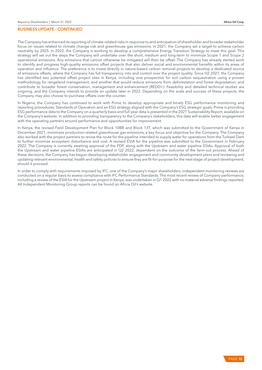The Company has enhanced its reporting of climate-related risks in response to and anticipation of shareholder and broader stakeholder focus on issues related to climate change risk and greenhouse gas emissions. In 2021, the Company set a target to achieve carbon neutrality by 2025. In 2022, the Company is working to develop a comprehensive Energy Transition Strategy to meet this goal. This strategy will set out the steps the Company will undertake over the short, medium and long-term to minimize Scope 1 and Scope 2 operational emissions. Any emissions that cannot otherwise be mitigated will then be offset. The Company has already started work to identify and progress high-quality emissions offset projects that also deliver social and environmental benefits within its areas of operation and influence. The preference is to invest directly in nature-based carbon removal projects to develop a dedicated source of emissions offsets, where the Company has full transparency into and control over the project quality. Since H2 2021, the Company has identified two potential offset project sites in Kenya, including one prospective for soil carbon sequestration using a proven methodology for rangeland management, and another that would reduce emissions from deforestation and forest degradation, and contribute to broader forest conservation, management and enhancement (REDD+). Feasibility and detailed technical studies are ongoing, and the Company intends to provide an update later in 2022. Depending on the scale and success of these projects, the Company may also choose to purchase offsets over the counter.

In Nigeria, the Company has continued to work with Prime to develop appropriate and timely ESG performance monitoring and reporting procedures, Standards of Operation and an ESG strategy aligned with the Company's ESG strategic goals. Prime is providing ESG performance data to the Company on a quarterly basis and full-year data is presented in the 2021 Sustainability Report, available on the Company's website. In addition to providing transparency to the Company's stakeholders, this data will enable better engagement with the operating partners around performance and opportunities for improvement.

In Kenya, the revised Field Development Plan for Block 10BB and Block 13T, which was submitted to the Government of Kenya in December 2021, minimizes production-related greenhouse gas emissions, a key focus and objective for the Company. The Company also worked with the project partners to revise the route for the pipeline intended to supply water for operations from the Turkwel Dam to further minimize ecosystem disturbance and cost. A revised ESIA for the pipeline was submitted to the Government in February 2022. The Company is currently awaiting approval of the FDP, along with the Upstream and water pipeline ESIAs. Approval of both the Upstream and water pipeline ESIAs are anticipated in Q2 2022, dependent on the outcome of the farm-out process. Ahead of these decisions, the Company has begun developing stakeholder engagement and community development plans and reviewing and updating relevant environmental, health and safety policies to ensure they are fit-for-purpose for the next stage of project development, should it proceed.

In order to comply with requirements imposed by IFC, one of the Company's major shareholders, independent monitoring reviews are conducted on a regular basis to assess compliance with IFC Performance Standards. The most recent review of Company performance, including a review of the ESIA for the Upstream project in Kenya, was undertaken in Q1 2022 with no material adverse findings reported. All Independent Monitoring Group reports can be found on Africa Oil's website.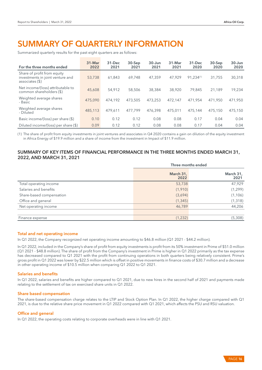# SUMMARY OF QUARTERLY INFORMATION

Summarized quarterly results for the past eight quarters are as follows:

| For the three months ended                                                           | $31 -$ Mar<br>2022 | 31-Dec<br>2021 | $30-$ Sep<br>2021 | $30 - Jun$<br>2021 | 31-Mar<br>2021 | $31 - Dec$<br>2020 | $30-$ Sep<br>2020 | $30 - Jun$<br>2020 |
|--------------------------------------------------------------------------------------|--------------------|----------------|-------------------|--------------------|----------------|--------------------|-------------------|--------------------|
| Share of profit from equity<br>investments in joint venture and<br>$associates ($\)$ | 53,738             | 61,843         | 69.748            | 47.359             | 47.929         | $91.234^{(1)}$     | 31,755            | 30,318             |
| Net income/(loss) attributable to<br>common shareholders (\$)                        | 45,608             | 54,912         | 58,506            | 38,384             | 38,920         | 79.845             | 21.189            | 19,234             |
| Weighted average shares<br>- Basic                                                   | 475,090            | 474.192        | 473,505           | 473.253            | 472.147        | 471.954            | 471.950           | 471,950            |
| Weighted average shares<br>- Diluted                                                 | 485,113            | 479,611        | 477.799           | 476,398            | 475.011        | 475.144            | 475,150           | 475,150            |
| Basic income/(loss) per share $(\$)$                                                 | 0.10               | 0.12           | 0.12              | 0.08               | 0.08           | 0.17               | 0.04              | 0.04               |
| Diluted income/(loss) per share (\$)                                                 | 0.09               | 0.12           | 0.12              | 0.08               | 0.08           | 0.17               | 0.04              | 0.04               |

(1) The share of profit from equity investments in joint ventures and associates in Q4 2020 contains a gain on dilution of the equity investment in Africa Energy of \$19.9 million and a share of income from the investment in Impact of \$11.9 million.

# SUMMARY OF KEY ITEMS OF FINANCIAL PERFORMANCE IN THE THREE MONTHS ENDED MARCH 31, 2022, AND MARCH 31, 2021

|                          | Three months ended |                   |  |
|--------------------------|--------------------|-------------------|--|
|                          | March 31,<br>2022  | March 31,<br>2021 |  |
| Total operating income   | 53,738             | 47,929            |  |
| Salaries and benefits    | (1,910)            | (1, 299)          |  |
| Share-based compensation | (3,694)            | (1, 106)          |  |
| Office and general       | (1, 345)           | (1, 318)          |  |
| Net operating income     | 46,789             | 44,206            |  |
|                          |                    |                   |  |
| Finance expense          | (1,232)            | (5,308)           |  |

## Total and net operating income

In Q1 2022, the Company recognized net operating income amounting to \$46.8 million (Q1 2021 - \$44.2 million).

In Q1 2022, included in the Company's share of profit from equity investments is profit from its 50% investment in Prime of \$51.0 million (Q1 2021 - \$48.8 million). The share of profit from the Company's investment in Prime is higher in Q1 2022 primarily as the tax expense has decreased compared to Q1 2021 with the profit from continuing operations in both quarters being relatively consistent. Prime's gross profit in Q1 2022 was lower by \$22.5 million which is offset in positive movements in finance costs of \$30.7 million and a decrease in other operating income of \$10.5 million when comparing Q1 2022 to Q1 2021.

#### Salaries and benefits

In Q1 2022, salaries and benefits are higher compared to Q1 2021, due to new hires in the second half of 2021 and payments made relating to the settlement of tax on exercised share units in Q1 2022.

## Share based compensation

The share-based compensation charge relates to the LTIP and Stock Option Plan. In Q1 2022, the higher charge compared with Q1 2021, is due to the relative share price movement in Q1 2022 compared with Q1 2021, which affects the PSU and RSU valuation.

#### Office and general

In Q1 2022, the operating costs relating to corporate overheads were in line with Q1 2021.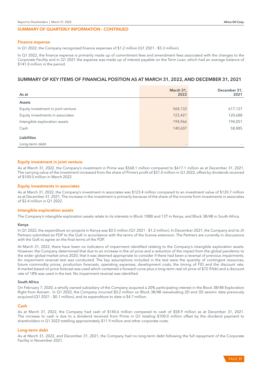#### SUMMARY OF QUARTERLY INFORMATION - CONTINUED

#### Finance expense

In Q1 2022, the Company recognized finance expenses of \$1.2 million (Q1 2021 - \$5.3 million).

In Q1 2022, the finance expense is primarily made up of commitment fees and amendment fees associated with the changes to the Corporate Facility and in Q1 2021 the expense was made up of interest payable on the Term Loan, which had an average balance of \$141.0 million in the period.

# SUMMARY OF KEY ITEMS OF FINANCIAL POSITION AS AT MARCH 31, 2022, AND DECEMBER 31, 2021

| As at                                | March 31,<br>2022 | December 31,<br>2021 |
|--------------------------------------|-------------------|----------------------|
| <b>Assets</b>                        |                   |                      |
| Equity investment in joint venture   | 568,132           | 617,127              |
| Equity investments in associates     | 123,421           | 120,688              |
| Intangible exploration assets        | 194,966           | 194,051              |
| Cash                                 | 140,607           | 58,885               |
| <b>Liabilities</b><br>Long-term debt |                   |                      |

#### Equity investment in joint venture

As at March 31, 2022, the Company's investment in Prime was \$568.1 million compared to \$617.1 million as at December 31, 2021. The carrying value of the investment increased from the share of Prime's profit of \$51.0 million in Q1 2022, offset by dividends received of \$100.0 million in March 2022.

#### Equity investments in associates

As at March 31, 2022, the Company's investment in associates was \$123.4 million compared to an investment value of \$120.7 million as at December 31, 2021. The increase in the investment is primarily because of the share of the income from investments in associates of \$2.4 million in Q1 2022.

#### Intangible exploration assets

The Company's intangible exploration assets relate to its interests in Block 10BB and 13T in Kenya, and Block 3B/4B in South Africa.

#### Kenya

In Q1 2022, the expenditure on projects in Kenya was \$0.5 million (Q1 2021 - \$1.2 million). In December 2021, the Company and its JV Partners submitted an FDP to the GoK in accordance with the terms of the license extension. The Partners are currently in discussions with the GoK to agree on the final terms of the FDP.

At March 31, 2022, there have been no indicators of impairment identified relating to the Company's intangible exploration assets. However, the Company determined that due to an increase in the oil price and a reduction of the impact from the global pandemic to the wider global market since 2020, that it was deemed appropriate to consider if there had been a reversal of previous impairments. An impairment reversal test was conducted. The key assumptions included in the test were the quantity of contingent resources, future commodity prices, production forecasts, operating expenses, development costs, the timing of FID and the discount rate. A market based oil price forecast was used which contained a forward curve plus a long-term real oil price of \$72.9/bbl and a discount rate of 18% was used in the test. No impairment reversal was identified.

#### South Africa

On February 7, 2020, a wholly owned subsidiary of the Company acquired a 20% participating interest in the Block 3B/4B Exploration Right from Azinam. In Q1 2022, the Company incurred \$0.2 million on Block 3B/4B reevaluating 2D and 3D seismic data previously acquired (Q1 2021 - \$0.1 million), and its expenditure to date is \$4.7 million.

#### Cash

As at March 31, 2022, the Company had cash of \$140.6 million compared to cash of \$58.9 million as at December 31, 2021. The increase to cash is due to a dividend received from Prime in Q1 totaling \$100.0 million offset by the dividend payment to shareholders in Q1 2022 totalling approximately \$11.9 million and other corporate costs.

#### Long-term debt

As at March 31, 2022, and December 31, 2021, the Company had no long-term debt following the full repayment of the Corporate Facility in November 2021.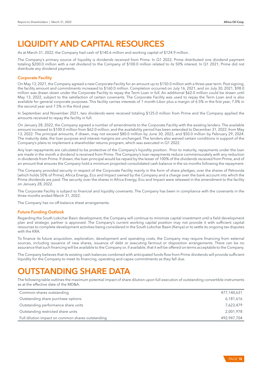# LIQUIDITY AND CAPITAL RESOURCES

As at March 31, 2022, the Company had cash of \$140.6 million and working capital of \$124.9 million.

The Company's primary source of liquidity is dividends received from Prime. In Q1 2022, Prime distributed one dividend payment totaling \$200.0 million with a net dividend to the Company of \$100.0 million related to its 50% interest. In Q1 2021, Prime did not distribute any dividend payments.

# Corporate Facility

On May 13, 2021, the Company agreed a new Corporate Facility for an amount up to \$150.0 million with a three-year term. Post signing, the facility amount and commitments increased to \$160.0 million. Completion occurred on July 16, 2021, and on July 30, 2021, \$98.0 million was drawn down under the Corporate Facility to repay the Term Loan in full. An additional \$62.0 million could be drawn until May 13, 2022, subject to the satisfaction of certain covenants. The Corporate Facility was used to repay the Term Loan and is also available for general corporate purposes. This facility carries interests of 1 month-Libor plus a margin of 6.5% in the first year, 7.0% in the second year and 7.5% in the third year.

In September and November 2021, two dividends were received totaling \$125.0 million from Prime and the Company applied the amounts received to repay the facility in full.

On January 28, 2022, the Company agreed a number of amendments to the Corporate Facility with the existing lenders. The available amount increased to \$100.0 million from \$62.0 million, and the availability period has been extended to December 31, 2022, from May 13, 2022. The principal amounts, if drawn, may not exceed \$80.0 million by June 30, 2023, and \$50.0 million by February 29, 2024. The maturity date, the loan purpose and interest margins are unchanged. The lenders also waived certain conditions in support of the Company's plans to implement a shareholder returns program, which was executed in Q1 2022.

Any loan repayments are calculated to be protective of the Company's liquidity position. Prior to maturity, repayments under the loan are made in the month a dividend is received from Prime. The Company's loan repayments reduce commensurately with any reduction in dividends from Prime. If drawn, the loan principal would be repaid by the lesser of 100% of the dividends received from Prime, and of an amount that ensures the Company hold a minimum projected consolidated cash balance in the six months following the repayment.

The Company provided security in respect of the Corporate Facility mainly in the form of share pledges, over the shares of Petrovida (which holds 50% of Prime), Africa Energy, Eco and Impact owned by the Company and a charge over the bank account into which the Prime dividends are paid. The security over the shares in Africa Energy, Eco and Impact were released in the amendment to the facility on January 28, 2022.

The Corporate Facility is subject to financial and liquidity covenants. The Company has been in compliance with the covenants in the three months ended March 31, 2022.

The Company has no off-balance sheet arrangements.

## Future Funding Outlook

Regarding the South Lokichar Basin development, the Company will continue to minimize capital investment until a field development plan and strategic partner is approved. The Company's current working capital position may not provide it with sufficient capital resources to complete development activities being considered in the South Lokichar Basin (Kenya) or to settle its ongoing tax disputes with the KRA.

To finance its future acquisition, exploration, development and operating costs, the Company may require financing from external sources, including issuance of new shares, issuance of debt or executing farmout or disposition arrangements. There can be no assurance that such financing will be available to the Company or, if available, that it will be offered on terms acceptable to the Company.

The Company believes that its existing cash balances combined with anticipated funds flow from Prime dividends will provide sufficient liquidity for the Company to meet its financing, operating and capex commitments as they fall due.

# UTSTANDING SHARE DATA

The following table outlines the maximum potential impact of share dilution upon full execution of outstanding convertible instruments as at the effective date of the MD&A.

| Common shares outstanding                         | 477,140,631 |
|---------------------------------------------------|-------------|
| Outstanding share purchase options                | 6,181,616   |
| Outstanding performance share units               | 7,623,479   |
| Outstanding restricted share units                | 2,001,978   |
| Full dilution impact on common shares outstanding | 492,947,704 |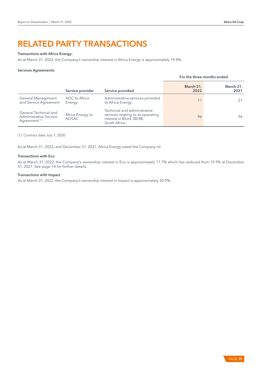# RELATED PARTY TRANSACTIONS

## Transactions with Africa Energy:

As at March 31, 2022, the Company's ownership interest in Africa Energy is approximately 19.8%.

#### Services Agreements:

|                                                                                    |                                  |                                                                                                                 | For the three months ended |                   |
|------------------------------------------------------------------------------------|----------------------------------|-----------------------------------------------------------------------------------------------------------------|----------------------------|-------------------|
|                                                                                    | Service provider                 | Service provided                                                                                                | March 31,<br>2022          | March 31,<br>2021 |
| General Management<br>and Service Agreement                                        | AOC to Africa<br>Energy          | Administrative services provided<br>to Africa Energy.                                                           | 11                         |                   |
| General Technical and<br><b>Administrative Service</b><br>Agreement <sup>(1)</sup> | Africa Energy to<br><b>AOSAC</b> | Technical and administrative<br>services relating to its operating<br>interest in Block 3B/4B,<br>South Africa. | 96                         | 96                |

(1) Contract date July 1, 2020

As at March 31, 2022, and December 31, 2021, Africa Energy owed the Company nil.

## Transactions with Eco

As at March 31, 2022, the Company's ownership interest in Eco is approximately 17.7% which has reduced from 19.9% at December 31, 2021. See page 14 for further details.

#### Transactions with Impact

As at March 31, 2022, the Company's ownership interest in Impact is approximately 30.9%.

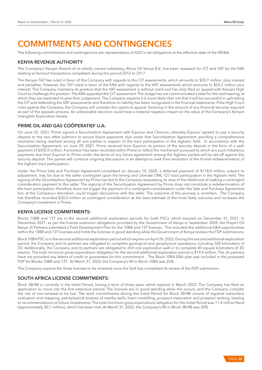# COMMITMENTS AND CONTINGENCIES

The following commitments and contingencies are representative of AOC's net obligations at the effective date of the MD&A.

# KENYA REVENUE AUTHORITY

The Company's Kenyan Branch of its wholly owned subsidiary, Africa Oil Kenya B.V., has been assessed for CIT and VAT by the KRA relating to farmout transactions completed during the period 2012 to 2017.

The Kenyan TAT has ruled in favor of the Company with regards to the CIT assessments, which amounts to \$20.7 million, plus interest and penalties. However, the TAT ruled in favor of the KRA with regards to the VAT assessments which amounts to \$24.2 million plus interest. The Company maintains its position that the VAT assessment is without merit and has duly filed an appeal with Kenya's High Court to challenge the position. The KRA appealed the CIT assessment. The Judge has not communicated a date for the next hearing, at which they are expected to give their judgement. The Company expects it is more likely than not that it will be successful in upholding the CIT and defending the VAT assessments and therefore no liability has been recognized in the financial statements. If the High Court rules against the Company, the Company will consider the option to appeal, factoring in the amount of any financial security required as part of the appeals process. An unfavorable decision could have a material negative impact on the value of the Company's Kenyan Intangible Exploration Assets.

# PRIME OIL AND GAS COÖPERATIEF U.A:

On June 25, 2021, Prime signed a Securitization Agreement with Equinor and Chevron, whereby Equinor agreed to pay a security deposit to the two other partners to secure future payments due under that Securitization Agreement, pending a comprehensive resolution being reached among all unit parties in respect of the tract participation in the Agbami field. In accordance with the Securitization Agreement, on June 29, 2021, Prime received from Equinor its portion of the security deposit in the form of a cash payment of \$305.0 million. A provision has been recorded within Prime to reflect the mechanism pursuant to which any such imbalance payments due from Equinor to Prime under the terms of any future agreement among the Agbami parties will be set-off against this security deposit. The parties will continue ongoing discussions in an attempt to seek final resolution of the formal redetermination of the Agbami tract participation.

Under the Prime Sale and Purchase Agreement completed on January 14, 2020, a deferred payment of \$118.0 million, subject to adjustment, may be due to the seller contingent upon the timing and ultimate OML 127 tract participation in the Agbami field. The signing of the Securitization Agreement by Prime has led to the Company reassessing its view of the likelihood of making a contingent consideration payment to the seller. The signing of the Securitization Agreement by Prime does not constitute a redetermination of the tract participation, therefore does not trigger the payment of a contingent consideration under the Sale and Purchase Agreement but, at the Company's discretion, could trigger discussions with the seller. The outcome of this process is uncertain. The Company has therefore recorded \$32.0 million as contingent consideration as the best estimate of the most likely outcome and increases the Company's investment in Prime.

# KENYA LICENSE COMMITMENTS:

Blocks 10BB and 13T are in the second additional exploration periods for both PSCs, which expired on December 31, 2021. In December 2021, as per the license extension obligations provided by the Government of Kenya in September 2020, the Project Oil Kenya JV Partners submitted a Field Development Plan for the 10BB and 13T licenses. This included the additional E&A opportunities within the 10BB and 13T licenses and holds the licenses in good standing while the Government of Kenya reviews the FDP submissions.

Block 10BA PSC is in the second additional exploration period which expires on April 26, 2022. During the second additional exploration period, the Company and its partners are obligated to complete geological and geophysical operations, including 500 kilometers of 2D. Additionally, the Company and its partners are obligated to drill one exploration well or to complete 45 square kilometers of 3D seismic. The total minimum gross expenditure obligation for the second additional exploration period is \$19.0 million. The JV partners have not provided any letters of credit or guarantees for this commitment. The Block 10BA E&A plan was included in the proposed FDP for Blocks 10BB and 13T. At March 31, 2022, the Company's WI in Block 10BA was 25%.

The Company expects the three licenses to be renewed once the GoK has completed its review of the FDP submission.

# SOUTH AFRICA LICENSE COMMITMENTS:

Block 3B/4B is currently in the Initial Period, having a term of three years which expired in March 2022. The Company has filed an application to move into the first extension period. The licenses are in good standing while this occurs, and the Company consider the risk of non-renewal to be low. The work commitments during this Initial Period for Block 3B/4B consist of regional subsurface evaluation and mapping, petrophysical analysis of nearby wells, basin modelling, prospect maturation and prospect ranking, leading to recommendations on future investments. The total minimum gross expenditure obligation for the Initial Period was 11.4 million Rand (approximately \$0.7 million), which has been met. At March 31, 2022, the Company's WI in Block 3B/4B was 20%.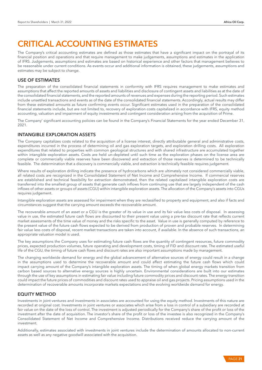# CRITICAL ACCOUNTING ESTIMATES

The Company's critical accounting estimates are defined as those estimates that have a significant impact on the portrayal of its financial position and operations and that require management to make judgements, assumptions and estimates in the application of IFRS. Judgements, assumptions and estimates are based on historical experience and other factors that management believes to be reasonable under current conditions. As events occur and additional information is obtained, these judgements, assumptions and estimates may be subject to change.

# USE OF ESTIMATES

The preparation of the consolidated financial statements in conformity with IFRS requires management to make estimates and assumptions that affect the reported amounts of assets and liabilities and disclosure of contingent assets and liabilities as at the date of the consolidated financial statements, and the reported amounts of revenues and expenses during the reporting period. Such estimates include unsettled transactions and events as of the date of the consolidated financial statements. Accordingly, actual results may differ from these estimated amounts as future confirming events occur. Significant estimates used in the preparation of the consolidated financial statements include, but are not limited to, recovery of exploration costs capitalized in accordance with IFRS, equity method accounting, valuation and impairment of equity investments and contingent consideration arising from the acquisition of Prime.

The Company' significant accounting policies can be found in the Company's Financial Statements for the year ended December 31, 2021.

# INTANGIBLE EXPLORATION ASSETS

The Company capitalizes costs related to the acquisition of a license interest, directly attributable general and administrative costs, expenditures incurred in the process of determining oil and gas exploration targets, and exploration drilling costs. All exploration expenditures that related to properties with common geological structures and with shared infrastructure are accumulated together within intangible exploration assets. Costs are held un-depleted until such time as the exploration phases on the license area are complete or commercially viable reserves have been discovered and extraction of those reserves is determined to be technically feasible. The determination that a discovery is commercially viable, and extraction is technically feasible requires judgement.

Where results of exploration drilling indicate the presence of hydrocarbons which are ultimately not considered commercially viable, all related costs are recognized in the Consolidated Statement of Net Income and Comprehensive Income. If commercial reserves are established and technical feasibility for extraction demonstrated, then the related capitalized intangible exploration costs are transferred into the smallest group of assets that generate cash inflows from continuing use that are largely independent of the cash inflows of other assets or groups of assets (CGU) within intangible exploration assets. The allocation of the Company's assets into CGUs requires judgement.

Intangible exploration assets are assessed for impairment when they are reclassified to property and equipment, and also if facts and circumstances suggest that the carrying amount exceeds the recoverable amount.

The recoverable amount of an asset or a CGU is the greater of its value in use and its fair value less costs of disposal. In assessing value in use, the estimated future cash flows are discounted to their present value using a pre-tax discount rate that reflects current market assessments of the time value of money and the risks specific to the asset. Value in use is generally computed by reference to the present value of the future cash flows expected to be derived from production of proven and probable reserves. In determining fair value less costs of disposal, recent market transactions are taken into account, if available. In the absence of such transactions, an appropriate valuation model is used.

The key assumptions the Company uses for estimating future cash flows are the quantity of contingent resources, future commodity prices, expected production volumes, future operating and development costs, timing of FID and discount rate. The estimated useful life of the CGU, the timing of future cash flows and discount rates are also important assumptions made by management.

The changing worldwide demand for energy and the global advancement of alternative sources of energy could result in a change in the assumptions used to determine the recoverable amount and could affect estimating the future cash flows which could impact carrying amount of the Company's intangible exploration assets. The timing of when global energy markets transition from carbon based sources to alternative energy sources is highly uncertain. Environmental considerations are built into our estimates through the use of key assumptions in estimating fair value including future commodity prices and discount rates. The energy transition could impact the future prices of commodities and discount rates used to appraise oil and gas projects. Pricing assumptions used in the determination of recoverable amounts incorporate markets expectations and the evolving worldwide demand for energy.

# EQUITY METHOD

Investments in joint ventures and investments in associates are accounted for using the equity method. Investments of this nature are recorded at original cost. Investments in joint ventures or associates which arise from a loss in control of a subsidiary are recorded at fair value on the date of the loss of control. The investment is adjusted periodically for the Company's share of the profit or loss of the investment after the date of acquisition. The investor's share of the profit or loss of the investee is also recognized in the Company's Consolidated Statement of Net Income and Comprehensive Income. Distributions received reduce the carrying amount of the investment.

Additionally, estimates associated with investments in joint ventures include the determination of amounts allocated to non-current assets as well as any negative goodwill associated with the acquisition.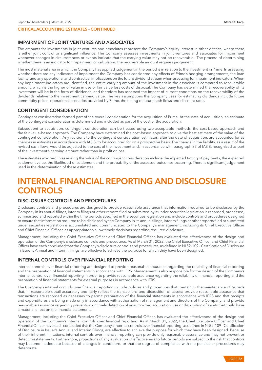# CRITICAL ACCOUNTING ESTIMATES - CONTINUED

# IMPAIRMENT OF JOINT VENTURES AND ASSOCIATES

The amounts for investments in joint ventures and associates represent the Company's equity interest in other entities, where there is either joint control or significant influence. The Company assesses investments in joint ventures and associates for impairment whenever changes in circumstances or events indicate that the carrying value may not be recoverable. The process of determining whether there is an indicator for impairment or calculating the recoverable amount requires judgement.

The most material area in which the Company has applied judgement in the period is in relation to the investment in Prime. In assessing whether there are any indicators of impairment the Company has considered any effects of Prime's hedging arrangements, the loan facility, and any operational and contractual implications on the future dividend stream when assessing for impairment indicators. When any impairment indicators are identified, the entire carrying amount of the investment in the associate is compared to recoverable amount, which is the higher of value in use or fair value less costs of disposal. The Company has determined the recoverability of its investment will be in the form of dividends, and therefore has assessed the impact of current conditions on the recoverability of the dividends relative to the investment carrying value. The key assumptions the Company uses for estimating dividends include future commodity prices, operational scenarios provided by Prime, the timing of future cash flows and discount rates.

#### CONTINGENT CONSIDERATION

Contingent consideration formed part of the overall consideration for the acquisition of Prime. At the date of acquisition, an estimate of the contingent consideration is determined and included as part of the cost of the acquisition.

Subsequent to acquisition, contingent consideration can be treated using two acceptable methods, the cost-based approach and the fair value-based approach. The Company have determined the cost-based approach to give the best estimate of the value of the contingent consideration. Any revisions to the contingent consideration estimates, after the date of acquisition, are accounted for as changes in estimates in accordance with IAS 8, to be accounted for on a prospective basis. The change in the liability, as a result of the revised cash flows, would be adjusted to the cost of the investment and, in accordance with paragraph 37 of IAS 8, recognized as part of the investment's carrying amount rather than in profit or loss.

The estimates involved in assessing the value of the contingent consideration include the expected timing of payments, the expected settlement value, the likelihood of settlement and the probability of the assessed outcomes occurring. There is significant judgement used in the determination of these estimates.

# INTERNAL FINANCIAL REPORTING AND DISCLOSURE **CONTROLS**

# DISCLOSURE CONTROLS AND PROCEDURES

Disclosure controls and procedures are designed to provide reasonable assurance that information required to be disclosed by the Company in its annual filings, interim filings or other reports filed or submitted by it under securities legislation is recorded, processed, summarized and reported within the time periods specified in the securities legislation and include controls and procedures designed to ensure that information required to be disclosed by the Company in its annual filings, interim filings or other reports filed or submitted under securities legislation is accumulated and communicated to the Company's management, including its Chief Executive Officer and Chief Financial Officer, as appropriate to allow timely decisions regarding required disclosure.

Management, including the Chief Executive Officer and Chief Financial Officer, has evaluated the effectiveness of the design and operation of the Company's disclosure controls and procedures. As of March 31, 2022, the Chief Executive Officer and Chief Financial Officer have each concluded that the Company's disclosure controls and procedures, as defined in NI 52-109 - Certification of Disclosure in Issuer's Annual and Interim Filings, are effective to achieve the purpose for which they have been designed.

#### INTERNAL CONTROLS OVER FINANCIAL REPORTING

Internal controls over financial reporting are designed to provide reasonable assurance regarding the reliability of financial reporting and the preparation of financial statements in accordance with IFRS. Management is also responsible for the design of the Company's internal control over financial reporting in order to provide reasonable assurance regarding the reliability of financial reporting and the preparation of financial statements for external purposes in accordance with IFRS.

The Company's internal controls over financial reporting include policies and procedures that: pertain to the maintenance of records that, in reasonable detail accurately and fairly reflect the transactions and disposition of assets; provide reasonable assurance that transactions are recorded as necessary to permit preparation of the financial statements in accordance with IFRS and that receipts and expenditures are being made only in accordance with authorization of management and directors of the Company; and provide reasonable assurance regarding prevention or timely detection of unauthorized acquisition, use or disposition of assets that could have a material effect on the financial statements.

Management, including the Chief Executive Officer and Chief Financial Officer, has evaluated the effectiveness of the design and operation of the Company's internal controls over financial reporting. As at March 31, 2022, the Chief Executive Officer and Chief Financial Officer have each concluded that the Company's internal controls over financial reporting, as defined in NI 52-109 - Certification of Disclosure in Issuer's Annual and Interim Filings, are effective to achieve the purpose for which they have been designed. Because of their inherent limitations, internal controls over financial reporting can provide only reasonable assurance and may not prevent or detect misstatements. Furthermore, projections of any evaluation of effectiveness to future periods are subject to the risk that controls may become inadequate because of changes in conditions, or that the degree of compliance with the policies or procedures may deteriorate.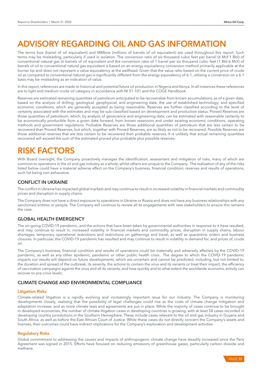# ADVISORY REGARDING OIL AND GAS INFORMATION

The terms boe (barrel of oil equivalent) and MMboe (millions of barrels of oil equivalent) are used throughout this report. Such terms may be misleading, particularly if used in isolation. The conversion ratio of six thousand cubic feet per barrel (6 Mcf:1 Bbl) of conventional natural gas to barrels of oil equivalent and the conversion ratio of 1 barrel per six thousand cubic feet (1 Bbl:6 Mcf) of barrels of oil to conventional natural gas equivalent is based on an energy equivalency conversion method primarily applicable at the burner tip and does not represent a value equivalency at the wellhead. Given that the value ratio based on the current price of crude oil as compared to conventional natural gas is significantly different from the energy equivalency of 6:1, utilizing a conversion on a 6:1 basis may be misleading as an indication of value.

In this report, references are made to historical and potential future oil production in Nigeria and Kenya. In all instances these references are to light and medium crude oil category in accordance with NI 51-101 and the COGE Handbook.

Reserves are estimated remaining quantities of petroleum anticipated to be recoverable from known accumulations, as of a given date, based on the analysis of drilling, geological, geophysical, and engineering data; the use of established technology; and specified economic conditions, which are generally accepted as being reasonable. Reserves are further classified according to the level of certainty associated with the estimates and may be sub-classified based on development and production status. Proved Reserves are those quantities of petroleum, which, by analysis of geoscience and engineering data, can be estimated with reasonable certainty to be economically producible from a given date forward, from known reservoirs and under existing economic conditions, operating methods and government regulations. Probable Reserves are those additional quantities of petroleum that are less certain to be recovered than Proved Reserves, but which, together with Proved Reserves, are as likely as not to be recovered. Possible Reserves are those additional reserves that are less certain to be recovered than probable reserves. It is unlikely that actual remaining quantities recovered will exceed the sum of the estimated proved plus probable plus possible reserves.

# RISK FACTORS

With Board oversight, the Company proactively manages the identification, assessment and mitigation of risks, many of which are common to operations in the oil and gas industry as a whole, whilst others are unique to the Company. The realization of any of the risks listed below could have a material adverse effect on the Company's business, financial condition, reserves and results of operations, such list being non-exhaustive.

# CONFLICT IN UKRAINE

The conflict in Ukraine has impacted global markets and may continue to result in increased volatility in financial markets and commodity prices and disruption in supply chains.

The Company does not have a direct exposure to operations in Ukraine or Russia and does not have any business relationships with any sanctioned entities or people. The Company will continue to review all its engagements with new stakeholders to ensure this remains the case.

# GLOBAL HEALTH EMERGENCY

The on-going COVID-19 pandemic, and the actions that have been taken by governmental authorities in response to it have resulted, and may continue to result in, increased volatility in financial markets and commodity prices, disruption in supply chains, labour shortages, temporary operational restrictions and restrictions on gatherings and travel, as well as quarantine orders and business closures. In particular, the COVID-19 pandemic has resulted and may continue to result in volatility in demand for, and prices of, crude oil.

The Company's business, financial condition and results of operations could be materially and adversely affected by the COVID-19 pandemic, as well as any other epidemic, pandemic or other public health crisis. The degree to which the COVID-19 pandemic impacts our results will depend on future developments, which are uncertain and cannot be predicted, including, but not limited to, the duration and spread of the outbreak, its severity, the actions to contain the virus and its variants or treat their impact, the efficiency of vaccination campaigns against the virus and all its variants, and how quickly and to what extent the worldwide economic activity can recover to pre-crisis levels.

# CLIMATE CHANGE AND ENVIRONMENTAL COMPLIANCE

## Litigation Risks

Climate-related litigation is a rapidly evolving and increasingly important issue for our industry. The Company is monitoring developments closely, realizing that the possibility of legal challenges could rise as the costs of climate change mitigation and adaptation increase, and as more climate laws and agreements are put in place. While the majority of cases continue to be brought in developed economies, the number of climate litigation cases in developing countries is growing, with at least 58 cases recorded in developing country jurisdictions in the Southern Hemisphere. These include cases relevant to the oil and gas industry in Guyana and South Africa, as well as before the East African Court of Justice. While these cases do not directly concern the Company's assets and licenses, their outcomes could have indirect implications for the Company's exploration and development activities.

# Regulatory Risks

Global commitment to addressing the causes and impacts of anthropogenic climate change have steadily increased since the Paris Agreement was signed in 2015. Efforts have focused on reducing emissions of greenhouse gases, particularly carbon dioxide and methane.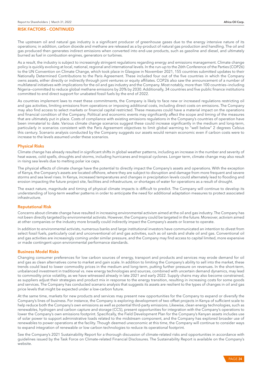The upstream oil and natural gas industry is a significant producer of greenhouse gases due to the energy intensive nature of its operations; in addition, carbon dioxide and methane are released as a by-product of natural gas production and handling. The oil and gas produced then generates indirect emissions when converted into end-use products, such as gasoline and diesel, and ultimately burned as fuel in combustion engines, generators or turbines.

As a result, the industry is subject to increasingly stringent regulations regarding energy and emissions management. Climate change policy is quickly evolving at local, national, regional and international levels. In the run-up to the 26th Conference of the Parties (COP26) to the UN Convention on Climate Change, which took place in Glasgow in November 2021, 155 countries submitted updates to their Nationally Determined Contributions to the Paris Agreement. These included four out of the five countries in which the Company owns assets, either directly or indirectly through joint ventures or equity affiliates. COP26 also saw the announcement of a number of multilateral initiatives with implications for the oil and gas industry and the Company. Most notably, more than 100 countries—including Nigeria—committed to reduce global methane emissions by 20% by 2030. Additionally, 34 countries and five public finance institutions committed to end direct support for unabated fossil fuels by the end of 2022.

As countries implement laws to meet these commitments, the Company is likely to face new or increased regulations restricting oil and gas activities, limiting emissions from operations or imposing additional costs, including direct costs on emissions. The Company may also find access to select markets or financial capital restricted. These measures could have a material impact on the operations and financial condition of the Company. Political and economic events may significantly affect the scope and timing of the measures that are ultimately put in place. Costs of compliance with existing emissions regulations in the Company's countries of operation have been immaterial to date. Various climate change scenarios suggest these could increase significantly in the medium and long-term, particularly in scenarios consistent with the Paris Agreement objectives to limit global warming to "well below" 2 degrees Celsius this century. Scenario analysis conducted by the Company suggests our assets would remain economic even if carbon costs were to increase to the levels assumed under these scenarios.

#### Physical Risks

Climate change has already resulted in significant shifts in global weather patterns, including an increase in the number and severity of heat waves, cold spells, droughts and storms, including hurricanes and tropical cyclones. Longer term, climate change may also result in rising sea levels due to melting polar ice caps.

The physical effects of climate change have the potential to directly impact the Company's assets and operations. With the exception of Kenya, the Company's assets are located offshore, where they are subject to disruption and damage from more frequent and severe storms and sea level rises. In Kenya, increased temperatures and changes in precipitation levels could alternately lead to flooding and erosion impacting the future project site, facilities and infrastructure, or shortages of water for operations as a result of drought.

The exact nature, magnitude and timing of physical climate impacts is difficult to predict. The Company will continue to develop its understanding of long-term weather patterns in order to anticipate the need for additional adaptation measures to protect associated infrastructure.

#### Reputational Risk

Concerns about climate change have resulted in increasing environmental activism aimed at the oil and gas industry. The Company has not been directly targeted by environmental activists. However, the Company could be targeted in the future. Moreover, activism aimed at other companies or the industry more broadly could indirectly impact the Company's assets or license to operate.

In addition to environmental activists, numerous banks and large institutional investors have communicated an intention to divest from select fossil fuels, particularly coal and unconventional oil and gas activities, such as oil sands and shale oil and gas. Conventional oil and gas activities are increasingly coming under similar pressure, and the Company may find access to capital limited, more expensive or made contingent upon environmental performance standards.

#### Business Model Risks

Changing consumer preferences for low carbon sources of energy, transport and products and services may erode demand for oil and gas as clean alternatives come to market and gain scale. In addition to limiting the Company's ability to sell into the market, these trends could lead to lower commodity prices in the medium and long-term, putting further pressure on revenues. In the short-term, unbalanced investment in traditional vs. new energy technologies and sources, combined with uncertain demand dynamics, may lead to commodity price volatility, as we have witnessed already in late 2021 and early 2022. Supply chains may also become constrained, as suppliers adjust their strategies and product mix in response to the energy transition, resulting in increasing costs for some goods and services. The Company has conducted scenario analysis that suggests its assets are resilient to the types of changes in oil and gas price levels that might be expected under a low-carbon future.

At the same time, markets for new products and services may present new opportunities for the Company to expand or diversify the Company's lines of business. For instance, the Company is exploring development of two offset projects in Kenya of sufficient scale to help reduce both the Company's own emissions as well as potential third-party emissions. Likewise, clean energy technologies, such as renewables, hydrogen and carbon capture and storage (CCS), present opportunities for integration with the Company's operations to lower the Company's own emissions footprint. Specifically, the Field Development Plan for the Company's Kenyan assets includes use of solar power to support administrative loads related to the midstream component, and the Company has explored broader use of renewables to power operations at the facility. Though deemed uneconomic at this time, the Company will continue to consider ways to expand integration of renewable or low carbon technologies to reduce its operational footprint.

See the Company's 2021 Sustainability Report for a thorough discussion of climate-related risks and opportunities in accordance with guidelines issued by the Task Force on Climate-related Financial Disclosures. The Sustainability Report is available on the Company's website.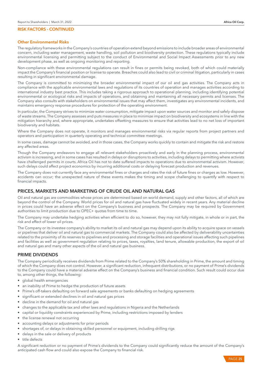#### Other Environmental Risks

The regulatory frameworks in the Company's countries of operation extend beyond emissions to include broader areas of environmental concern, including water management, waste handling, soil pollution and biodiversity protection. These regulations typically include environmental licensing and permitting subject to the conduct of Environmental and Social Impact Assessments prior to any new development phase, as well as ongoing monitoring and reporting.

Non-compliance with these environmental regulations can result in fines or permits being revoked, both of which could materially impact the Company's financial position or license to operate. Breaches could also lead to civil or criminal litigation, particularly in cases resulting in significant environmental damage.

The Company is committed to minimizing the broader environmental impact of our oil and gas activities. The Company acts in compliance with the applicable environmental laws and regulations of its countries of operation and manages activities according to international industry best practice. This includes taking a rigorous approach to operational planning, including identifying potential environmental or ecological risks and impacts of operations, and obtaining and maintaining all necessary permits and licenses. The Company also consults with stakeholders on environmental issues that may affect them, investigates any environmental incidents, and maintains emergency response procedures for protection of the operating environment.

In particular, the Company strives to minimize water consumption, mitigate impact upon water sources and monitor and safely dispose of waste streams. The Company assesses and puts measures in place to minimize impact on biodiversity and ecosystems in line with the mitigation hierarchy and, where appropriate, undertakes offsetting measures to ensure that activities lead to no net loss of important biodiversity and habitats.

Where the Company does not operate, it monitors and manages environmental risks via regular reports from project partners and operators and participation in quarterly operating and technical committee meetings.

In some cases, damage cannot be avoided, and in those cases, the Company works quickly to contain and mitigate the risk and restore any affected areas.

Though the Company endeavors to engage all relevant stakeholders proactively and early in the planning process, environmental activism is increasing, and in some cases has resulted in delays or disruptions to activities, including delays to permitting where activists have challenged permits in courts. Africa Oil has not to date suffered impacts to operations due to environmental activism. However, such delays could affect project economics by incurring additional costs or delaying forecast production and revenues.

The Company does not currently face any environmental fines or charges and rates the risk of future fines or charges as low. However, accidents can occur; the unexpected nature of these events makes the timing and scope challenging to quantify with respect to financial impacts.

# PRICES, MARKETS AND MARKETING OF CRUDE OIL AND NATURAL GAS

Oil and natural gas are commodities whose prices are determined based on world demand, supply and other factors, all of which are beyond the control of the Company. World prices for oil and natural gas have fluctuated widely in recent years. Any material decline in prices could have an adverse effect on the Company's business and prospects. The Company may be required by Government authorities to limit production due to OPEC+ quotas from time to time.

The Company may undertake hedging activities when efficient to do so, however, they may not fully mitigate, in whole or in part, the risk and effect of lower oil prices.

The Company or its investee company's ability to market its oil and natural gas may depend upon its ability to acquire space on vessels or pipelines that deliver oil and natural gas to commercial markets. The Company could also be affected by deliverability uncertainties related to the proximity of its reserves to pipelines and processing and storage facilities and operational issues affecting such pipelines and facilities as well as government regulation relating to prices, taxes, royalties, land tenure, allowable production, the export of oil and natural gas and many other aspects of the oil and natural gas business.

# PRIME DIVIDENDS

The Company periodically receives dividends from Prime related to the Company's 50% shareholding in Prime, the amount and timing of which the Company does not control. However, a significant reduction, infrequent distributions, or no payment of Prime's dividends to the Company could have a material adverse effect on the Company's business and financial condition. Such result could occur due to, among other things, the following:

- global health emergencies
- an inability of Prime to hedge the production of future assets
- Prime's off-takers defaulting on forward sale agreements or banks defaulting on hedging agreements
- significant or extended declines in oil and natural gas prices
- decline in the demand for oil and natural gas
- changes to the applicable tax and other laws and regulations in Nigeria and the Netherlands
- capital or liquidity constraints experienced by Prime, including restrictions imposed by lenders
- the license renewal not occurring
- accounting delays or adjustments for prior periods
- shortages of, or delays in obtaining skilled personnel or equipment, including drilling rigs
- delays in the sale or delivery of products
- title defects

A significant reduction or no payment of Prime's dividends to the Company could significantly reduce the amount of the Company's anticipated cash flow and could also expose the Company to financial risk.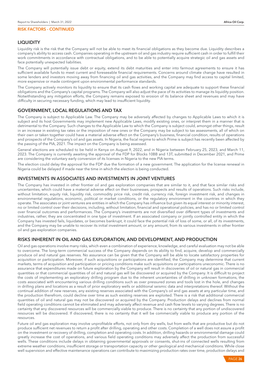# LIQUIDITY

Liquidity risk is the risk that the Company will not be able to meet its financial obligations as they become due. Liquidity describes a company's ability to access cash. Companies operating in the upstream oil and gas industry require sufficient cash in order to fulfill their work commitments in accordance with contractual obligations, and to be able to potentially acquire strategic oil and gas assets and face potentially unexpected liabilities.

The Company will potentially issue debt or equity, extend its debt maturities and enter into farmout agreements to ensure it has sufficient available funds to meet current and foreseeable financial requirements. Concerns around climate change have resulted in some lenders and investors moving away from financing oil and gas activities, and the Company may find access to capital limited, more expensive or made contingent upon environmental performance standards.

The Company actively monitors its liquidity to ensure that its cash flows and working capital are adequate to support these financial obligations and the Company's capital programs. The Company will also adjust the pace of its activities to manage its liquidity position. Notwithstanding any mitigation efforts, the Company remains exposed to erosion of its balance sheet and revenues and may have difficulty in securing necessary funding, which may lead to insufficient liquidity.

# GOVERNMENT, LOCAL REGULATIONS AND TAX

The Company is subject to Applicable Law. The Company may be adversely affected by changes to Applicable Laws to which it is subject and its host Governments may implement new Applicable Laws, modify existing ones, or interpret them in a manner that is detrimental to the Company. Such changes to the Applicable Law to which the Company is subject could, amongst other things, result in an increase in existing tax rates or the imposition of new ones or the Company may be subject to tax assessments, all of which on their own or taken together could have a material adverse effect on the Company's business, financial condition, results of operations and prospects of the Company's oil and gas assets. In Nigeria, the fiscal regime to which Prime is subject has recently been affected by the passing of the PIA, 2021. The impact on the Company is being assessed.

General elections are scheduled to be held in Kenya on August 9, 2022, and in Nigeria between February 25, 2023, and March 11, 2023. The Company is currently awaiting the approval of the FDP for Blocks 10BB and 13T, submitted in December 2021, and Prime are considering the voluntary early conversion of its licenses in Nigeria to the new PIA terms.

The election could delay the approval for the FDP due the formation of a new government. The application for the license renewal in Nigeria could be delayed if made near the time in which the election is being conducted.

# INVESTMENTS IN ASSOCIATES AND INVESTMENTS IN JOINT VENTURES

The Company has invested in other frontier oil and gas exploration companies that are similar to it, and that face similar risks and uncertainties, which could have a material adverse effect on their businesses, prospects and results of operations. Such risks include, without limitation, equity risk, liquidity risk, commodity price risk, credit risk, currency risk, foreign investment risk, and changes in environmental regulations, economic, political or market conditions, or the regulatory environment in the countries in which they operate. The associates or joint ventures are entities in which the Company has influence but given its equal interest or minority interest, no or limited control over their decisions, including, without limitation, financial and operational policies, and has no or limited control over financial outcomes and performances. The Company's investments are not diversified over different types of investments and industries, rather, they are concentrated in one type of investment. If an associated company or jointly controlled entity in which the Company has invested fails, liquidates, or becomes bankrupt, it could face the potential risk of loss of some, or all, of its investments, and the Company may be unable to recover its initial investment amount, or any amount, from its various investments in other frontier oil and gas exploration companies.

# RISKS INHERENT IN OIL AND GAS EXPLORATION, AND DEVELOPMENT, AND PRODUCTION

Oil and gas operations involve many risks, which even a combination of experience, knowledge, and careful evaluation may not be able to overcome. The long-term commercial success of the Company depends on its ability to find, acquire, develop and commercially produce oil and natural gas reserves. No assurance can be given that the Company will be able to locate satisfactory properties for acquisition or participation. Moreover, if such acquisitions or participations are identified, the Company may determine that current markets, terms of acquisition and participation or pricing conditions make such acquisitions or participations uneconomic. There is no assurance that expenditures made on future exploration by the Company will result in discoveries of oil or natural gas in commercial quantities or that commercial quantities of oil and natural gas will be discovered or acquired by the Company. It is difficult to project the costs of implementing an exploratory drilling program due to the inherent uncertainties of drilling in unknown formations, the costs associated with encountering various drilling conditions such as over pressured zones and tools lost in the hole, and changes in drilling plans and locations as a result of prior exploratory wells or additional seismic data and interpretations thereof. Without the continual addition of new reserves, any existing reserves associated with the Company's oil and gas assets at any particular time, and the production therefrom, could decline over time as such existing reserves are exploited. There is a risk that additional commercial quantities of oil and natural gas may not be discovered or acquired by the Company. Production delays and declines from normal field operating conditions cannot be eliminated and may adversely affect revenue and cash flow levels to varying degrees. There is no certainty that any discovered resources will be commercially viable to produce. There is no certainty that any portion of undiscovered resources will be discovered. If discovered, there is no certainty that it will be commercially viable to produce any portion of the resources.

Future oil and gas exploration may involve unprofitable efforts, not only from dry wells, but from wells that are productive but do not produce sufficient net revenues to return a profit after drilling, operating and other costs. Completion of a well does not assure a profit on the investment or recovery of drilling, completion and operating costs. In addition, drilling hazards or environmental damage could greatly increase the cost of operations, and various field operating conditions may adversely affect the production from successful wells. These conditions include delays in obtaining governmental approvals or consents, shut-ins of connected wells resulting from extreme weather conditions, insufficient storage or transportation capacity or other geological and mechanical conditions. While close well supervision and effective maintenance operations can contribute to maximizing production rates over time, production delays and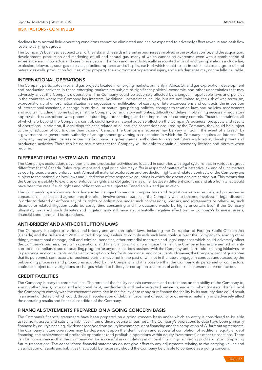declines from normal field operating conditions cannot be eliminated and can be expected to adversely affect revenue and cash flow levels to varying degrees.

The Company's business is subject to all of the risks and hazards inherent in businesses involved in the exploration for, and the acquisition, development, production and marketing of, oil and natural gas, many of which cannot be overcome even with a combination of experience and knowledge and careful evaluation. The risks and hazards typically associated with oil and gas operations include fire, explosion, blowouts, sour gas releases, pipeline ruptures and oil spills, each of which could result in substantial damage to oil and natural gas wells, production facilities, other property, the environment or personal injury, and such damages may not be fully insurable.

# INTERNATIONAL OPERATIONS

The Company participates in oil and gas projects located in emerging markets, primarily in Africa. Oil and gas exploration, development and production activities in these emerging markets are subject to significant political, economic, and other uncertainties that may adversely affect the Company's operations. The Company could be adversely affected by changes in applicable laws and policies in the countries where the Company has interests. Additional uncertainties include, but are not limited to, the risk of war, terrorism, expropriation, civil unrest, nationalization, renegotiation or nullification of existing or future concessions and contracts, the imposition of international sanctions, a change in crude oil or natural gas pricing policies, changes to taxation laws and policies, assessments and audits (including income tax) against the Company by regulatory authorities, difficulty or delays in obtaining necessary regulatory approvals, risks associated with potential future legal proceedings, and the imposition of currency controls. These uncertainties, all of which are beyond the Company's control, could have a material adverse effect on the Company's business, prospects and results of operations. In addition, if legal disputes arise related to oil and gas concessions acquired by the Company, they could be subject to the jurisdiction of courts other than those of Canada. The Company's recourse may be very limited in the event of a breach by a government or government authority of an agreement governing a concession in which the Company acquires an interest. The Company may require licenses or permits from various governmental authorities to carry out future exploration, development and production activities. There can be no assurance that the Company will be able to obtain all necessary licenses and permits when required.

# DIFFERENT LEGAL SYSTEM AND LITIGATION

The Company's exploration, development and production activities are located in countries with legal systems that in various degrees differ from that of Canada. Rules, regulations and legal principles may differ in respect of matters of substantive law and of such matters as court procedure and enforcement. Almost all material exploration and production rights and related contracts of the Company are subject to the national or local laws and jurisdiction of the respective countries in which the operations are carried out. This means that the Company's ability to exercise or enforce its rights and obligations may differ between different countries and also from what would have been the case if such rights and obligations were subject to Canadian law and jurisdiction.

The Company's operations are, to a large extent, subject to various complex laws and regulations as well as detailed provisions in concessions, licenses and agreements that often involve several parties. If the Company was to become involved in legal disputes in order to defend or enforce any of its rights or obligations under such concessions, licenses, and agreements or otherwise, such disputes or related litigation could be costly, time consuming and the outcome would be highly uncertain. Even if the Company ultimately prevailed, such disputes and litigation may still have a substantially negative effect on the Company's business, assets, financial conditions, and its operations.

# ANTI-BRIBERY AND ANTI-CORRUPTION LAWS

The Company is subject to various anti-bribery and anti-corruption laws, including the Corruption of Foreign Public Officials Act (Canada) and the Bribery Act 2010 (United Kingdom). Failure to comply with such laws could subject the Company to, among other things, reputational damage, civil and criminal penalties, other remedial measures and legal expenses which could adversely affect the Company's business, results in operations, and financial condition. To mitigate this risk, the Company has implemented an anticorruption compliance and onboarding program for anyone that does business with the Company, anti-corruption training initiatives for its personnel and consultants, and an anti-corruption policy for its personnel, and consultants. However, the Company cannot guarantee that its personnel, contractors, or business partners have not in the past or will not in the future engage in conduct undetected by the onboarding processes and procedures adopted by the Company, and it is possible that the Company, its personnel or contractors, could be subject to investigations or charges related to bribery or corruption as a result of actions of its personnel or contractors.

# CREDIT FACILITIES

The Company is party to credit facilities. The terms of the facility contain covenants and restrictions on the ability of the Company to, among other things, incur or lend additional debt, pay dividends and make restricted payments, and encumber its assets. The failure of the Company to comply with the covenants contained in the facility or to repay or refinance the facility by its maturity date could result in an event of default, which could, through acceleration of debt, enforcement of security or otherwise, materially and adversely affect the operating results and financial condition of the Company.

# FINANCIAL STATEMENTS PREPARED ON A GOING CONCERN BASIS

The Company's financial statements have been prepared on a going concern basis under which an entity is considered to be able to realize its assets and satisfy its liabilities in the ordinary course of business. The Company's operations to date have been primarily financed by equity financing, dividends received from equity investments, debt financing and the completion of WI farmout agreements. The Company's future operations may be dependent upon the identification and successful completion of additional equity or debt financing, the achievement of profitable operations (and profitable operations within equity investments) or other transactions. There can be no assurances that the Company will be successful in completing additional financings, achieving profitability or completing future transactions. The consolidated financial statements do not give effect to any adjustments relating to the carrying values and classification of assets and liabilities that would be necessary should the Company be unable to continue as a going concern.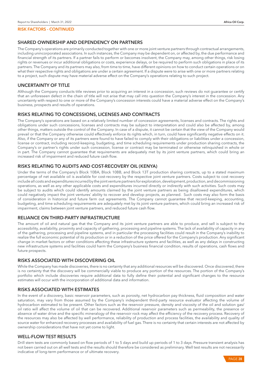# SHARED OWNERSHIP AND DEPENDENCY ON PARTNERS

The Company's operations are primarily conducted together with one or more joint venture partners through contractual arrangements, including unincorporated associations. In such instances, the Company may be dependent on, or affected by, the due performance and financial strength of its partners. If a partner fails to perform or becomes insolvent, the Company may, among other things, risk losing rights or revenues or incur additional obligations or costs, experience delays, or be required to perform such obligations in place of its partners. The Company and its partners may also, from time to time, have different opinions on how to conduct certain operations or on what their respective rights and obligations are under a certain agreement. If a dispute were to arise with one or more partners relating to a project, such dispute may have material adverse effect on the Company's operations relating to such project.

# UNCERTAINTY OF TITLE

Although the Company conducts title reviews prior to acquiring an interest in a concession, such reviews do not guarantee or certify that an unforeseen defect in the chain of title will not arise that may call into question the Company's interest in the concession. Any uncertainty with respect to one or more of the Company's concession interests could have a material adverse effect on the Company's business, prospects and results of operations.

# RISKS RELATING TO CONCESSIONS, LICENSES AND CONTRACTS

The Company's operations are based on a relatively limited number of concession agreements, licenses and contracts. The rights and obligations under such concessions, licenses and contracts may be subject to interpretation and could also be affected by, among other things, matters outside the control of the Company. In case of a dispute, it cannot be certain that the view of the Company would prevail or that the Company otherwise could effectively enforce its rights which, in turn, could have significantly negative effects on it. Also, if the Company or any of its partners were found to have failed to comply with their obligations or liabilities under a concession, license or contract, including record-keeping, budgeting, and time scheduling requirements under production sharing contracts, the Company's or partner's rights under such concession, license or contract may be terminated or otherwise relinquished in whole or in part. The Company cannot guarantee that requirements are adequately met by its joint venture partners, which could bring an increased risk of impairment and reduced future cash flow.

# RISKS RELATING TO AUDITS AND COST-RECOVERY OIL (KENYA)

Under the terms of the Company's Block 10BA, Block 10BB, and Block 13T production sharing contracts, up to a stated maximum percentage of net available oil is available for cost-recovery by the respective joint venture partners. Costs subject to cost recovery include all costs and expenditures incurred by the joint venture partners for exploration, development, production, and decommissioning operations, as well as any other applicable costs and expenditures incurred directly or indirectly with such activities. Such costs may be subject to audits which could identify amounts claimed by the joint venture partners as being disallowed expenditures, which could negatively impact the joint ventures' ability to recover and develop projects, as planned. Such costs may also form the basis of consideration in historical and future farm out agreements. The Company cannot guarantee that record-keeping, accounting, budgeting, and time scheduling requirements are adequately met by its joint venture partners, which could bring an increased risk of impairment, claims between joint venture partners, and reduced future cash flow.

# RELIANCE ON THIRD-PARTY INFRASTRUCTURE

The amount of oil and natural gas that the Company and its joint venture partners are able to produce, and sell is subject to the accessibility, availability, proximity and capacity of gathering, processing and pipeline systems. The lack of availability of capacity in any of the gathering, processing and pipeline systems, and in particular the processing facilities could result in the Company's inability to realize the full economic potential of its production or in a reduction of the price offered for the Company's production. Any significant change in market factors or other conditions affecting these infrastructure systems and facilities, as well as any delays in constructing new infrastructure systems and facilities could harm the Company's business financial condition, results of operations, cash flows and future prospects.

# RISKS ASSOCIATED WITH DISCOVERING OIL

While the Company has made discoveries, there is no certainty that any additional resources will be discovered. Once discovered, there is no certainty that the discovery will be commercially viable to produce any portion of the resources. The portion of the Company's portfolio which include discoveries require additional data to fully define their potential and significant changes to the resource estimates will occur with the incorporation of additional data and information.

# RISKS ASSOCIATED WITH ESTIMATES

In the event of a discovery, basic reservoir parameters, such as porosity, net hydrocarbon pay thickness, fluid composition and water saturation, may vary from those assumed by the Company's independent third-party resource evaluator affecting the volume of hydrocarbon estimated to be present. Other factors such as the reservoir pressure, density and viscosity of the oil and solution gas/ oil ratio will affect the volume of oil that can be recovered. Additional reservoir parameters such as permeability, the presence or absence of water drive and the specific mineralogy of the reservoir rock may affect the efficiency of the recovery process. Recovery of the resources may also be affected by well performance, reliability of production and process facilities, the availability and quality of source water for enhanced recovery processes and availability of fuel gas. There is no certainty that certain interests are not affected by ownership considerations that have not yet come to light.

# WELL-FLOW TEST RESULTS

Drill stem tests are commonly based on flow periods of 1 to 5 days and build up periods of 1 to 3 days. Pressure transient analysis has not been carried out on all well tests and the results should therefore be considered as preliminary. Well test results are not necessarily indicative of long-term performance or of ultimate recovery.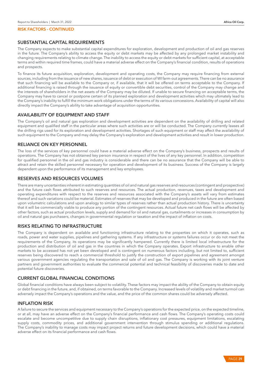# SUBSTANTIAL CAPITAL REQUIREMENTS

The Company expects to make substantial capital expenditures for exploration, development and production of oil and gas reserves in the future. The Company's ability to access the equity or debt markets may be affected by any prolonged market instability and changing requirements relating to climate change. The inability to access the equity or debt markets for sufficient capital, at acceptable terms and within required time frames, could have a material adverse effect on the Company's financial condition, results of operations and prospects.

To finance its future acquisition, exploration, development and operating costs, the Company may require financing from external sources, including from the issuance of new shares, issuance of debt or execution of WI farm-out agreements. There can be no assurance that such financing will be available to the Company or, if available, that it will be offered on terms acceptable to the Company. If additional financing is raised through the issuance of equity or convertible debt securities, control of the Company may change and the interests of shareholders in the net assets of the Company may be diluted. If unable to secure financing on acceptable terms, the Company may have to cancel or postpone certain of its planned exploration and development activities which may ultimately lead to the Company's inability to fulfill the minimum work obligations under the terms of its various concessions. Availability of capital will also directly impact the Company's ability to take advantage of acquisition opportunities.

# AVAILABILITY OF EQUIPMENT AND STAFF

The Company's oil and natural gas exploration and development activities are dependent on the availability of drilling and related equipment and qualified staff in the particular areas where such activities are or will be conducted. The Company currently leases all the drilling rigs used for its exploration and development activities. Shortages of such equipment or staff may affect the availability of such equipment to the Company and may delay the Company's exploration and development activities and result in lower production.

# RELIANCE ON KEY PERSONNEL

The loss of the services of key personnel could have a material adverse effect on the Company's business, prospects and results of operations. The Company has not obtained key person insurance in respect of the lives of any key personnel. In addition, competition for qualified personnel in the oil and gas industry is considerable and there can be no assurance that the Company will be able to attract and retain the skilled personnel necessary for operation and development of its business. Success of the Company is largely dependent upon the performance of its management and key employees.

# RESERVES AND RESOURCES VOLUMES

There are many uncertainties inherent in estimating quantities of oil and natural gas reserves and resources (contingent and prospective) and the future cash flows attributed to such reserves and resources. The actual production, revenues, taxes and development and operating expenditures with respect to the reserves and resources associated with the Company's assets will vary from estimates thereof and such variations could be material. Estimates of reserves that may be developed and produced in the future are often based upon volumetric calculations and upon analogy to similar types of reserves rather than actual production history. There is uncertainty that it will be commercially viable to produce any portion of the contingent resources. Actual future net cash flows will be affected by other factors, such as actual production levels, supply and demand for oil and natural gas, curtailments or increases in consumption by oil and natural gas purchasers, changes in governmental regulation or taxation and the impact of inflation on costs.

# RISKS RELATING TO INFRASTRUCTURE

The Company is dependent on available and functioning infrastructure relating to the properties on which it operates, such as roads, power and water supplies, pipelines and gathering systems. If any infrastructure or systems failures occur or do not meet the requirements of the Company, its operations may be significantly hampered. Currently there is limited local infrastructure for the production and distribution of oil and gas in the countries in which the Company operates. Export infrastructure to enable other markets to be accessed has not yet been developed and is contingent on numerous factors including, but not limited to, sufficient reserves being discovered to reach a commercial threshold to justify the construction of export pipelines and agreement amongst various government agencies regulating the transportation and sale of oil and gas. The Company is working with its joint venture partners and government authorities to evaluate the commercial potential and technical feasibility of discoveries made to date and potential future discoveries.

# CURRENT GLOBAL FINANCIAL CONDITIONS

Global financial conditions have always been subject to volatility. These factors may impact the ability of the Company to obtain equity or debt financing in the future, and, if obtained, on terms favorable to the Company. Increased levels of volatility and market turmoil can adversely impact the Company's operations and the value, and the price of the common shares could be adversely affected.

## INFLATION RISK

A failure to secure the services and equipment necessary to the Company's operations for the expected price, on the expected timeline, or at all, may have an adverse effect on the Company's financial performance and cash flows. The Company's operating costs could escalate and become uncompetitive due to supply chain disruptions, inflationary cost pressures, equipment limitations, escalating supply costs, commodity prices, and additional government intervention through stimulus spending or additional regulations. The Company's inability to manage costs may impact project returns and future development decisions, which could have a material adverse effect on its financial performance and cash flows.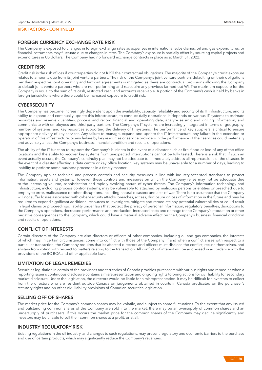# FOREIGN CURRENCY EXCHANGE RATE RISK

The Company is exposed to changes in foreign exchange rates as expenses in international subsidiaries, oil and gas expenditures, or financial instruments may fluctuate due to changes in rates. The Company's exposure is partially offset by sourcing capital projects and expenditures in US dollars. The Company had no forward exchange contracts in place as at March 31, 2022.

# CREDIT RISK

Credit risk is the risk of loss if counterparties do not fulfill their contractual obligations. The majority of the Company's credit exposure relates to amounts due from its joint venture partners. The risk of the Company's joint venture partners defaulting on their obligations per their respective joint operating and farmout agreements is mitigated as there are contractual provisions allowing the Company to default joint venture partners who are non-performing and reacquire any previous farmed out WI. The maximum exposure for the Company is equal to the sum of its cash, restricted cash, and accounts receivable. A portion of the Company's cash is held by banks in foreign jurisdictions where there could be increased exposure to credit risk.

# **CYBERSECURITY**

The Company has become increasingly dependent upon the availability, capacity, reliability and security of its IT infrastructure, and its ability to expand and continually update this infrastructure, to conduct daily operations. It depends on various IT systems to estimate resources and reserve quantities, process and record financial and operating data, analyze seismic and drilling information, and communicate with employees and third-party partners. The Company's IT systems are increasingly integrated in terms of geography, number of systems, and key resources supporting the delivery of IT systems. The performance of key suppliers is critical to ensure appropriate delivery of key services. Any failure to manage, expand and update the IT infrastructure, any failure in the extension or operation of this infrastructure, or any failure by key resources or service providers in the performance of their services could materially and adversely affect the Company's business, financial condition and results of operations.

The ability of the IT function to support the Company's business in the event of a disaster such as fire, flood or loss of any of the office locations and the ability to recover key systems from unexpected interruptions cannot be fully tested. There is a risk that, if such an event actually occurs, the Company's continuity plan may not be adequate to immediately address all repercussions of the disaster. In the event of a disaster affecting a data centre or key office location, key systems may be unavailable for a number of days, leading to inability to perform some business processes in a timely manner.

The Company applies technical and process controls and security measures in line with industry-accepted standards to protect information, assets and systems. However, these controls and measures on which the Company relies may not be adequate due to the increasing volume, sophistication and rapidly evolving nature of cyber threats. The Company's information technology and infrastructure, including process control systems, may be vulnerable to attached by malicious persons or entities or breached due to employee error, malfeasance or other disruptions, including natural disasters and acts of war. There is no assurance that the Company will not suffer losses associated with cyber-security attacks, breaches, access, disclosure or loss of information in the future and may be required to expend significant additional resources to investigate, mitigate and remediate any potential vulnerabilities or could result in legal claims or proceedings, liability under laws that protect the privacy of personal information, regulatory penalties, disruptions to the Company's operations, decreased performance and production, increased costs and damage to the Company's reputation or other negative consequences to the Company, which could have a material adverse effect on the Company's business, financial condition and results of operations.

# CONFLICT OF INTERESTS

Certain directors of the Company are also directors or officers of other companies, including oil and gas companies, the interests of which may, in certain circumstances, come into conflict with those of the Company. If and when a conflict arises with respect to a particular transaction, the Company requires that its affected directors and officers must disclose the conflict, recuse themselves, and abstain from voting with respect to matters relating to the transaction. All conflicts of interest will be addressed in accordance with the provisions of the BC BCA and other applicable laws.

## LIMITATION OF LEGAL REMEDIES

Securities legislation in certain of the provinces and territories of Canada provides purchasers with various rights and remedies when a reporting issuer's continuous disclosure contains a misrepresentation and ongoing rights to bring actions for civil liability for secondary market disclosure. Under the legislation, the directors would be liable for a misrepresentation. It may be difficult for investors to collect from the directors who are resident outside Canada on judgements obtained in courts in Canada predicated on the purchaser's statutory rights and on other civil liability provisions of Canadian securities legislation.

## SELLING OFF OF SHARES

The market price for the Company's common shares may be volatile, and subject to some fluctuations. To the extent that any issued and outstanding common shares of the Company are sold into the market, there may be an oversupply of common shares and an undersupply of purchasers. If this occurs the market price for the common shares of the Company may decline significantly and investors may be unable to sell their common shares at a profit, or at all.

# INDUSTRY REGULATORY RISK

Existing regulations in the oil industry, and changes to such regulations, may present regulatory and economic barriers to the purchase and use of certain products, which may significantly reduce the Company's revenues.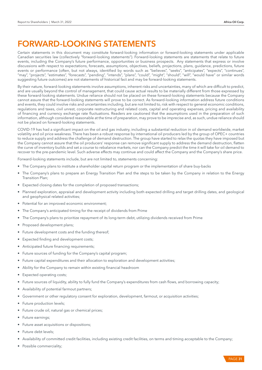# FORWARD-LOOKING STATEMENTS

Certain statements in this document may constitute forward-looking information or forward-looking statements under applicable Canadian securities law (collectively "forward-looking statements"). Forward-looking statements are statements that relate to future events, including the Company's future performance, opportunities or business prospects. Any statements that express or involve discussions with respect to expectations, forecasts, assumptions, objectives, beliefs, projections, plans, guidance, predictions, future events or performance (often, but not always, identified by words such as "believes", "seeks", "anticipates", "expects", "continues", "may", "projects", "estimates", "forecasts", "pending", "intends", "plans", "could", "might", "should", "will", "would have" or similar words suggesting future outcomes) are not statements of historical fact and may be forward-looking statements.

By their nature, forward-looking statements involve assumptions, inherent risks and uncertainties, many of which are difficult to predict, and are usually beyond the control of management, that could cause actual results to be materially different from those expressed by these forward-looking statements. Undue reliance should not be placed on these forward-looking statements because the Company cannot assure that the forward-looking statements will prove to be correct. As forward-looking information address future conditions and events, they could involve risks and uncertainties including, but are not limited to, risk with respect to general economic conditions, regulations and taxes, civil unrest, corporate restructuring and related costs, capital and operating expenses, pricing and availability of financing and currency exchange rate fluctuations. Readers are cautioned that the assumptions used in the preparation of such information, although considered reasonable at the time of preparation, may prove to be imprecise and, as such, undue reliance should not be placed on forward-looking statements.

COVID-19 has had a significant impact on the oil and gas industry, including a substantial reduction in oil demand worldwide, market volatility and oil price weakness. There has been a robust response by international oil producers led by the group of OPEC+ countries to reduce supply and address the challenge of demand destruction. The group have started to relax the quotas they have imposed but the Company cannot assure that the oil producers' response can remove significant supply to address the demand destruction, flatten the curve of inventory builds and set a course to rebalance markets, nor can the Company predict the time it will take for oil demand to recover to the pre-pandemic level. Such adverse effects may continue and could affect the Company and the Company's share price.

Forward-looking statements include, but are not limited to, statements concerning:

- The Company plans to institute a shareholder capital return program or the implementation of share buy-backs
- The Company's plans to prepare an Energy Transition Plan and the steps to be taken by the Company in relation to the Energy Transition Plan;
- Expected closing dates for the completion of proposed transactions;
- Planned exploration, appraisal and development activity including both expected drilling and target drilling dates, and geological and geophysical related activities;
- Potential for an improved economic environment;
- The Company's anticipated timing for the receipt of dividends from Prime
- The Company's plans to prioritize repayment of its long-term debt, utilizing dividends received from Prime
- Proposed development plans;
- Future development costs and the funding thereof;
- Expected finding and development costs;
- Anticipated future financing requirements;
- Future sources of funding for the Company's capital program;
- Future capital expenditures and their allocation to exploration and development activities;
- Ability for the Company to remain within existing financial headroom
- Expected operating costs;
- Future sources of liquidity, ability to fully fund the Company's expenditures from cash flows, and borrowing capacity;
- Availability of potential farmout partners;
- Government or other regulatory consent for exploration, development, farmout, or acquisition activities;
- Future production levels;
- Future crude oil, natural gas or chemical prices;
- Future earnings;
- Future asset acquisitions or dispositions;
- Future debt levels;
- Availability of committed credit facilities, including existing credit facilities, on terms and timing acceptable to the Company;
- Possible commerciality;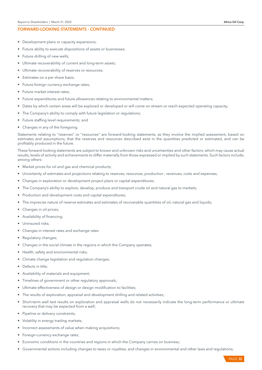#### FORWARD-LOOKING STATEMENTS - CONTINUED

- Development plans or capacity expansions;
- Future ability to execute dispositions of assets or businesses;
- Future drilling of new wells;
- Ultimate recoverability of current and long-term assets;
- Ultimate recoverability of reserves or resources;
- Estimates on a per share basis;
- Future foreign currency exchange rates;
- Future market interest rates;
- Future expenditures and future allowances relating to environmental matters;
- Dates by which certain areas will be explored or developed or will come on stream or reach expected operating capacity;
- The Company's ability to comply with future legislation or regulations;
- Future staffing level requirements; and
- Changes in any of the foregoing.

Statements relating to "reserves" or "resources" are forward-looking statements, as they involve the implied assessment, based on estimates and assumptions, that the reserves and resources described exist in the quantities predicted or estimated, and can be profitably produced in the future.

These forward-looking statements are subject to known and unknown risks and uncertainties and other factors, which may cause actual results, levels of activity and achievements to differ materially from those expressed or implied by such statements. Such factors include, among others:

- Market prices for oil and gas and chemical products;
- Uncertainty of estimates and projections relating to reserves, resources, production, revenues, costs and expenses;
- Changes in exploration or development project plans or capital expenditures;
- The Company's ability to explore, develop, produce and transport crude oil and natural gas to markets;
- Production and development costs and capital expenditures;
- The imprecise nature of reserve estimates and estimates of recoverable quantities of oil, natural gas and liquids;
- Changes in oil prices;
- Availability of financing;
- Uninsured risks;
- Changes in interest rates and exchange rates
- Regulatory changes;
- Changes in the social climate in the regions in which the Company operates;
- Health, safety and environmental risks;
- Climate change legislation and regulation changes;
- Defects in title;
- Availability of materials and equipment;
- Timelines of government or other regulatory approvals;
- Ultimate effectiveness of design or design modification to facilities;
- The results of exploration, appraisal and development drilling and related activities;
- Short-term well test results on exploration and appraisal wells do not necessarily indicate the long-term performance or ultimate recovery that may be expected from a well;
- Pipeline or delivery constraints;
- Volatility in energy trading markets;
- Incorrect assessments of value when making acquisitions;
- Foreign-currency exchange rates;
- Economic conditions in the countries and regions in which the Company carries on business;
- Governmental actions including changes to taxes or royalties, and changes in environmental and other laws and regulations;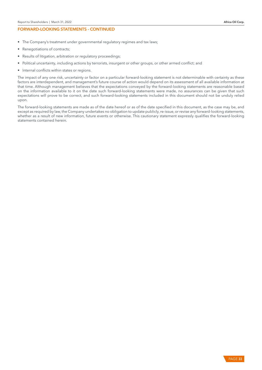## FORWARD-LOOKING STATEMENTS - CONTINUED

- The Company's treatment under governmental regulatory regimes and tax laws;
- Renegotiations of contracts;
- Results of litigation, arbitration or regulatory proceedings;
- Political uncertainty, including actions by terrorists, insurgent or other groups, or other armed conflict; and
- Internal conflicts within states or regions.

The impact of any one risk, uncertainty or factor on a particular forward-looking statement is not determinable with certainty as these factors are interdependent, and management's future course of action would depend on its assessment of all available information at that time. Although management believes that the expectations conveyed by the forward-looking statements are reasonable based on the information available to it on the date such forward-looking statements were made, no assurances can be given that such expectations will prove to be correct, and such forward-looking statements included in this document should not be unduly relied upon.

The forward-looking statements are made as of the date hereof or as of the date specified in this document, as the case may be, and except as required by law, the Company undertakes no obligation to update publicly, re-issue, or revise any forward-looking statements, whether as a result of new information, future events or otherwise. This cautionary statement expressly qualifies the forward-looking statements contained herein.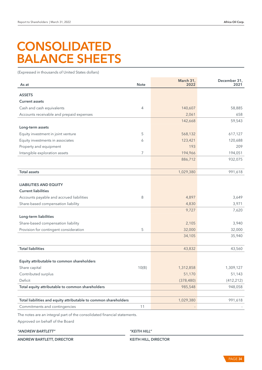# **CONSOLIDATED** BALANCE SHEETS

(Expressed in thousands of United States dollars)

| As at                                                            | <b>Note</b> | March 31,<br>2022 | December 31,<br>2021 |
|------------------------------------------------------------------|-------------|-------------------|----------------------|
| <b>ASSETS</b>                                                    |             |                   |                      |
| <b>Current assets</b>                                            |             |                   |                      |
| Cash and cash equivalents                                        | 4           | 140,607           | 58,885               |
| Accounts receivable and prepaid expenses                         |             | 2,061             | 658                  |
|                                                                  |             | 142,668           | 59,543               |
| Long-term assets                                                 |             |                   |                      |
| Equity investment in joint venture                               | 5           | 568,132           | 617,127              |
| Equity investments in associates                                 | 6           | 123,421           | 120,688              |
| Property and equipment                                           |             | 193               | 209                  |
| Intangible exploration assets                                    | 7           | 194,966           | 194,051              |
|                                                                  |             | 886,712           | 932,075              |
| <b>Total assets</b>                                              |             | 1,029,380         | 991,618              |
|                                                                  |             |                   |                      |
| <b>LIABILITIES AND EQUITY</b>                                    |             |                   |                      |
| <b>Current liabilities</b>                                       |             |                   |                      |
| Accounts payable and accrued liabilities                         | 8           | 4,897             | 3,649                |
| Share-based compensation liability                               |             | 4,830             | 3,971                |
|                                                                  |             | 9,727             | 7,620                |
| Long-term liabilities                                            |             |                   |                      |
| Share-based compensation liability                               |             | 2,105             | 3,940                |
| Provision for contingent consideration                           | 5           | 32,000            | 32,000               |
|                                                                  |             | 34,105            | 35,940               |
| <b>Total liabilities</b>                                         |             | 43,832            | 43,560               |
|                                                                  |             |                   |                      |
| Equity attributable to common shareholders                       |             |                   |                      |
| Share capital                                                    | 10(B)       | 1,312,858         | 1,309,127            |
| Contributed surplus                                              |             | 51,170            | 51,143               |
| Deficit                                                          |             | (378, 480)        | (412, 212)           |
| Total equity attributable to common shareholders                 |             | 985,548           | 948,058              |
|                                                                  |             |                   |                      |
| Total liabilities and equity attributable to common shareholders |             | 1,029,380         | 991,618              |
| Commitments and contingencies                                    | 11          |                   |                      |

The notes are an integral part of the consolidated financial statements.

Approved on behalf of the Board

*"ANDREW BARTLETT" "KEITH HILL"*

ANDREW BARTLETT, DIRECTOR KEITH HILL, DIRECTOR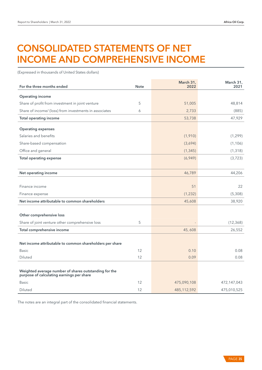# CONSOLIDATED STATEMENTS OF NET INCOME AND COMPREHENSIVE INCOME

(Expressed in thousands of United States dollars)

| For the three months ended                               | <b>Note</b> | March 31,<br>2022 | March 31,<br>2021 |
|----------------------------------------------------------|-------------|-------------------|-------------------|
| <b>Operating income</b>                                  |             |                   |                   |
| Share of profit from investment in joint venture         | 5           | 51,005            | 48,814            |
| Share of income/ (loss) from investments in associates   | 6           | 2,733             | (885)             |
| <b>Total operating income</b>                            |             | 53,738            | 47,929            |
| <b>Operating expenses</b>                                |             |                   |                   |
| Salaries and benefits                                    |             | (1,910)           | (1, 299)          |
| Share-based compensation                                 |             | (3,694)           | (1, 106)          |
| Office and general                                       |             | (1, 345)          | (1, 318)          |
| <b>Total operating expense</b>                           |             | (6,949)           | (3, 723)          |
|                                                          |             |                   |                   |
| Net operating income                                     |             | 46,789            | 44,206            |
|                                                          |             |                   |                   |
| Finance income                                           |             | 51                | 22                |
| Finance expense                                          |             | (1,232)           | (5,308)           |
| Net income attributable to common shareholders           |             | 45,608            | 38,920            |
|                                                          |             |                   |                   |
| Other comprehensive loss                                 |             |                   |                   |
| Share of joint venture other comprehensive loss          | 5           |                   | (12, 368)         |
| Total comprehensive income                               |             | 45,608            | 26,552            |
|                                                          |             |                   |                   |
| Net income attributable to common shareholders per share |             |                   |                   |
| <b>Basic</b>                                             | 12          | 0.10              | 0.08              |
| <b>Diluted</b>                                           | 12          | 0.09              | 0.08              |
| Weighted average number of shares outstanding for the    |             |                   |                   |
| purpose of calculating earnings per share                |             |                   |                   |
| <b>Basic</b>                                             | 12          | 475,090,108       | 472,147,043       |
| <b>Diluted</b>                                           | 12          | 485,112,592       | 475,010,525       |

The notes are an integral part of the consolidated financial statements.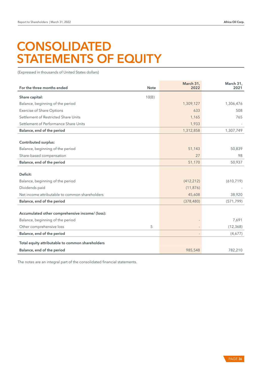# **CONSOLIDATED** STATEMENTS OF EQUITY

(Expressed in thousands of United States dollars)

| For the three months ended                       | <b>Note</b> | March 31,<br>2022 | March 31,<br>2021 |
|--------------------------------------------------|-------------|-------------------|-------------------|
| Share capital:                                   | 10(B)       |                   |                   |
| Balance, beginning of the period                 |             | 1,309,127         | 1,306,476         |
| <b>Exercise of Share Options</b>                 |             | 633               | 508               |
| Settlement of Restricted Share Units             |             | 1,165             | 765               |
| Settlement of Performance Share Units            |             | 1,933             |                   |
| Balance, end of the period                       |             | 1,312,858         | 1,307,749         |
| <b>Contributed surplus:</b>                      |             |                   |                   |
| Balance, beginning of the period                 |             | 51,143            | 50,839            |
| Share-based compensation                         |             | 27                | 98                |
| Balance, end of the period                       |             | 51,170            | 50,937            |
| Deficit:                                         |             |                   |                   |
| Balance, beginning of the period                 |             | (412, 212)        | (610, 719)        |
| Dividends paid                                   |             | (11, 876)         |                   |
| Net income attributable to common shareholders   |             | 45,608            | 38,920            |
| Balance, end of the period                       |             | (378, 480)        | (571, 799)        |
|                                                  |             |                   |                   |
| Accumulated other comprehensive income/ (loss):  |             |                   |                   |
| Balance, beginning of the period                 |             |                   | 7,691             |
| Other comprehensive loss                         | 5           |                   | (12, 368)         |
| Balance, end of the period                       |             |                   | (4,677)           |
| Total equity attributable to common shareholders |             |                   |                   |
| Balance, end of the period                       |             | 985,548           | 782,210           |

The notes are an integral part of the consolidated financial statements.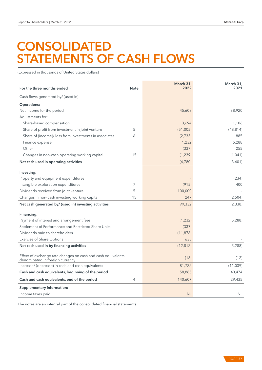# **CONSOLIDATED** STATEMENTS OF CASH FLOWS

(Expressed in thousands of United States dollars)

| For the three months ended                                                                      | <b>Note</b> | March 31,<br>2022 | March 31,<br>2021 |
|-------------------------------------------------------------------------------------------------|-------------|-------------------|-------------------|
| Cash flows generated by/ (used in):                                                             |             |                   |                   |
| <b>Operations:</b>                                                                              |             |                   |                   |
| Net income for the period                                                                       |             | 45,608            | 38,920            |
| Adjustments for:                                                                                |             |                   |                   |
| Share-based compensation                                                                        |             | 3,694             | 1,106             |
| Share of profit from investment in joint venture                                                | 5           | (51,005)          | (48, 814)         |
| Share of (income)/ loss from investments in associates                                          | 6           | (2,733)           | 885               |
| Finance expense                                                                                 |             | 1,232             | 5,288             |
| Other                                                                                           |             | (337)             | 255               |
| Changes in non-cash operating working capital                                                   | 15          | (1, 239)          | (1,041)           |
| Net cash used in operating activities                                                           |             | (4,780)           | (3,401)           |
|                                                                                                 |             |                   |                   |
| Investing:                                                                                      |             |                   |                   |
| Property and equipment expenditures                                                             |             |                   | (234)             |
| Intangible exploration expenditures                                                             | 7           | (915)             | 400               |
| Dividends received from joint venture                                                           | 5           | 100,000           |                   |
| Changes in non-cash investing working capital                                                   | 15          | 247               | (2,504)           |
| Net cash generated by/ (used in) investing activities                                           |             | 99,332            | (2, 338)          |
| Financing:                                                                                      |             |                   |                   |
| Payment of interest and arrangement fees                                                        |             | (1,232)           | (5,288)           |
| Settlement of Performance and Restricted Share Units                                            |             | (337)             |                   |
| Dividends paid to shareholders                                                                  |             | (11, 876)         |                   |
| <b>Exercise of Share Options</b>                                                                |             | 633               |                   |
| Net cash used in by financing activities                                                        |             | (12, 812)         | (5, 288)          |
| Effect of exchange rate changes on cash and cash equivalents<br>denominated in foreign currency |             | (18)              | (12)              |
| Increase/ (decrease) in cash and cash equivalents                                               |             | 81,722            | (11,039)          |
| Cash and cash equivalents, beginning of the period                                              |             | 58,885            | 40,474            |
| Cash and cash equivalents, end of the period                                                    | 4           | 140,607           | 29,435            |
| Supplementary information:                                                                      |             |                   |                   |
| Income taxes paid                                                                               |             | <b>Nil</b>        | Nil               |

The notes are an integral part of the consolidated financial statements.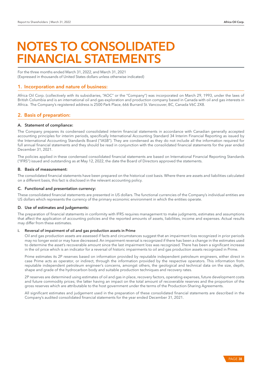# NOTES TO CONSOLIDATED FINANCIAL STATEMENTS

For the three months ended March 31, 2022, and March 31, 2021 (Expressed in thousands of United States dollars unless otherwise indicated)

# 1. Incorporation and nature of business:

Africa Oil Corp. (collectively with its subsidiaries, "AOC" or the "Company") was incorporated on March 29, 1993, under the laws of British Columbia and is an international oil and gas exploration and production company based in Canada with oil and gas interests in Africa. The Company's registered address is 2500 Park Place, 666 Burrard St. Vancouver, BC, Canada V6C 2X8.

# 2. Basis of preparation:

# A. Statement of compliance:

The Company prepares its condensed consolidated interim financial statements in accordance with Canadian generally accepted accounting principles for interim periods, specifically International Accounting Standard 34 Interim Financial Reporting as issued by the International Accounting Standards Board ("IASB"). They are condensed as they do not include all the information required for full annual financial statements and they should be read in conjunction with the consolidated financial statements for the year ended December 31, 2021.

The policies applied in these condensed consolidated financial statements are based on International Financial Reporting Standards ("IFRS") issued and outstanding as at May 12, 2022, the date the Board of Directors approved the statements.

#### B. Basis of measurement:

The consolidated financial statements have been prepared on the historical cost basis. Where there are assets and liabilities calculated on a different basis, this fact is disclosed in the relevant accounting policy.

## C. Functional and presentation currency:

These consolidated financial statements are presented in US dollars. The functional currencies of the Company's individual entities are US dollars which represents the currency of the primary economic environment in which the entities operate.

## D. Use of estimates and judgements:

The preparation of financial statements in conformity with IFRS requires management to make judgments, estimates and assumptions that affect the application of accounting policies and the reported amounts of assets, liabilities, income and expenses. Actual results may differ from these estimates.

#### i. Reversal of impairment of oil and gas production assets in Prime

Oil and gas production assets are assessed if facts and circumstances suggest that an impairment loss recognized in prior periods may no longer exist or may have decreased. An impairment reversal is recognized if there has been a change in the estimates used to determine the asset's recoverable amount since the last impairment loss was recognized. There has been a significant increase in the oil price which is an indicator for a reversal of historic impairments to oil and gas production assets recognized in Prime.

Prime estimates its 2P reserves based on information provided by reputable independent petroleum engineers, either direct in case Prime acts as operator, or indirect, through the information provided by the respective operators. This information from reputable independent petroleum engineer's concerns, amongst others, the geological and technical data on the size, depth, shape and grade of the hydrocarbon body and suitable production techniques and recovery rates.

2P reserves are determined using estimates of oil and gas in place, recovery factors, operating expenses, future development costs and future commodity prices; the latter having an impact on the total amount of recoverable reserves and the proportion of the gross reserves which are attributable to the host government under the terms of the Production-Sharing Agreements.

All significant estimates and judgement used in the preparation of these consolidated financial statements are described in the Company's audited consolidated financial statements for the year ended December 31, 2021.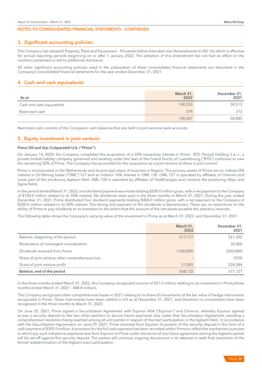# 3. Significant accounting policies:

The Company has adopted Property, Plant and Equipment – Proceeds before Intended Use (Amendments to IAS 16) which is effective for annual reporting periods beginning on or after 1 January 2022. The adoption of this amendment has not had an effect on the numbers presented or led to additional disclosure.

All other significant accounting policies used in the preparation of these consolidated financial statements are described in the Company's consolidated financial statements for the year ended December 31, 2021.

# 4. Cash and cash equivalents:

| As at                     | March 31,<br>2022 | December 31,<br>2021 |
|---------------------------|-------------------|----------------------|
| Cash and cash equivalents | 140,233           | 58,512               |
| Restricted cash           | 374               | 373                  |
|                           | 140,607           | 58,885               |

Restricted cash consists of the Company's cash balances that are held in joint venture bank accounts.

# 5. Equity investment in joint venture:

#### Prime Oil and Gas Coöperatief U.A. ("Prime"):

On January 14, 2020, the Company completed the acquisition of a 50% ownership interest in Prime. BTG Pactual Holding S.à.r.l., a private limited liability company governed and existing under the laws of the Grand Duchy of Luxembourg ("BTG") continues to own the remaining 50% of Prime. The Company has accounted for the acquisition as a joint venture as there is joint control.

Prime is incorporated in the Netherlands and its principal place of business is Nigeria. The primary assets of Prime are an indirect 8% interest in Oil Mining Lease ("OML") 127 and an indirect 16% interest in OML 130. OML 127 is operated by affiliates of Chevron and cover part of the producing Agbami field. OML 130 is operated by affiliates of TotalEnergies and contains the producing Akpo and Egina fields.

In the period ended March 31, 2022, one dividend payment was made totaling \$200.0 million gross, with a net payment to the Company of \$100.0 million related to its 50% interest. No dividends were paid in the three months to March 31, 2021. During the year ended December 31, 2021, Prime distributed four dividend payments totaling \$400.0 million gross, with a net payment to the Company of \$200.0 million related to its 50% interest. The timing and payment of the dividends is discretionary. There are no restrictions on the ability of Prime to pay dividends to its members to the extent that the amount of the net assets exceeds the statutory reserves.

The following table shows the Company's carrying value of the investment in Prime as at March 31, 2022, and December 31, 2021.

|                                                 | March 31,<br>2022 | December 31,<br>2021 |
|-------------------------------------------------|-------------------|----------------------|
| Balance, beginning of the period                | 617,127           | 561,302              |
| Revaluation of contingent consideration         |                   | 32,000               |
| Dividends received from Prime                   | (100,000)         | (200,000)            |
| Share of joint venture other comprehensive loss |                   | (559)                |
| Share of joint venture profit                   | 51,005            | 224,384              |
| Balance, end of the period                      | 568,132           | 617,127              |

In the three months ended March 31, 2022, the Company recognized income of \$51.0 million relating to its investment in Prime (three months ended March 31, 2021 - \$48.8 million).

The Company recognized other comprehensive losses in 2021 relating to its share of movements of the fair value of hedge instruments recognized in Prime. These instruments have been settled in full as at December 31, 2021, and therefore no movements have been recognized in the three months to March 31, 2022.

On June 25, 2021, Prime signed a Securitization Agreement with Equinor ASA ("Equinor") and Chevron, whereby Equinor agreed to pay a security deposit to the two other partners to secure future payments due under that Securitization Agreement, pending a comprehensive resolution being reached among all unit parties in respect of the tract participation in the Agbami field. In accordance with the Securitization Agreement, on June 29, 2021, Prime received from Equinor its portion of the security deposit in the form of a cash payment of \$305.0 million. A provision for the full cash payment has been recorded within Prime to reflect the mechanism pursuant to which any such imbalance payments due from Equinor to Prime under the terms of any future agreement among the Agbami parties will be set-off against this security deposit. The parties will continue ongoing discussions in an attempt to seek final resolution of the formal redetermination of the Agbami tract participation.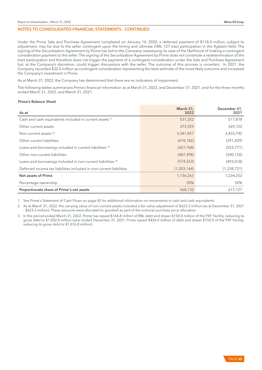Under the Prime Sale and Purchase Agreement completed on January 14, 2020, a deferred payment of \$118.0 million, subject to adjustment, may be due to the seller contingent upon the timing and ultimate OML 127 tract participation in the Agbami field. The signing of the Securitization Agreement by Prime has led to the Company reassessing its view of the likelihood of making a contingent consideration payment to the seller. The signing of the Securitization Agreement by Prime does not constitute a redetermination of the tract participation and therefore does not trigger the payment of a contingent consideration under the Sale and Purchase Agreement but, at the Company's discretion, could trigger discussions with the seller. The outcome of this process is uncertain. In 2021, the Company recorded \$32.0 million as contingent consideration representing the best estimate of the most likely outcome and increased the Company's investment in Prime.

As at March 31, 2022, the Company has determined that there are no indicators of impairment.

The following tables summarizes Prime's financial information as at March 31, 2022, and December 31, 2021, and for the three months ended March 31, 2022, and March 31, 2021.

#### Prime's Balance Sheet

| As at                                                                   | March 31,<br>2022 | December 31,<br>2021 |
|-------------------------------------------------------------------------|-------------------|----------------------|
| Cash and cash equivalents included in current assets (1)                | 531,352           | 517,878              |
| Other current assets                                                    | 373,929           | 369,722              |
| Non-current assets <sup>(2)</sup>                                       | 3,341,857         | 3,433,742            |
| Other current liabilities                                               | (418, 182)        | (291, 429)           |
| Loans and borrowings included in current liabilities <sup>(3)</sup>     | (427,768)         | (523, 771)           |
| Other non-current liabilities                                           | (487, 498)        | (540, 150)           |
| Loans and borrowings included in non-current liabilities <sup>(3)</sup> | (574, 263)        | (493, 018)           |
| Deferred income tax liabilities included in non-current liabilities     | (1,203,164)       | (1,238,721)          |
| Net assets of Prime                                                     | 1,136,263         | 1,234,253            |
| Percentage ownership                                                    | 50%               | 50%                  |
| Proportionate share of Prime's net assets                               | 568,132           | 617,127              |

1. See Prime's Statement of Cash Flows on page 42 for additional information on movements in cash and cash equivalents.

2. As at March 31, 2022, the carrying value of non-current assets included a fair value adjustment of \$623.3 million (as at December 31, 2021 - \$623.3 million). These amounts were allocated to goodwill as part of the notional purchase price allocation.

3. In the period ended March 31, 2022, Prime has repaid \$164.8 million of RBL debt and drawn \$150.0 million of the PXF Facility, reducing its gross debt to \$1,002.0 million (year ended December 31, 2021, Prime repaid \$436.0 million of debt and drawn \$150.0 of the PXF Facility, reducing its gross debt to \$1,016.8 million).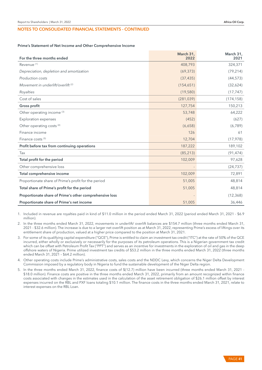#### Prime's Statement of Net Income and Other Comprehensive Income

| For the three months ended                              | March 31,<br>2022        | March 31,<br>2021 |
|---------------------------------------------------------|--------------------------|-------------------|
| Revenue <sup>(1)</sup>                                  | 408,793                  | 324,371           |
| Depreciation, depletion and amortization                | (69, 373)                | (79, 214)         |
| Production costs                                        | (37, 435)                | (44, 573)         |
| Movement in underlift/overlift <sup>(2)</sup>           | (154, 651)               | (32,624)          |
| Royalties                                               | (19, 580)                | (17, 747)         |
| Cost of sales                                           | (281, 039)               | (174, 158)        |
| Gross profit                                            | 127,754                  | 150,213           |
| Other operating income <sup>(3)</sup>                   | 53,748                   | 64,222            |
| <b>Exploration expenses</b>                             | (452)                    | (627)             |
| Other operating costs <sup>(4)</sup>                    | (6,658)                  | (6, 789)          |
| Finance income                                          | 126                      | 61                |
| Finance costs <sup>(5)</sup>                            | 12,704                   | (17, 978)         |
| Profit before tax from continuing operations            | 187,222                  | 189,102           |
| Tax                                                     | (85, 213)                | (91, 474)         |
| Total profit for the period                             | 102,009                  | 97,628            |
| Other comprehensive loss                                | $\overline{\phantom{m}}$ | (24, 737)         |
| Total comprehensive income                              | 102,009                  | 72,891            |
| Proportionate share of Prime's profit for the period    | 51,005                   | 48,814            |
| Total share of Prime's profit for the period            | 51,005                   | 48,814            |
| Proportionate share of Prime's other comprehensive loss |                          | (12, 368)         |
| Proportionate share of Prime's net income               | 51,005                   | 36,446            |

1. Included in revenue are royalties paid in kind of \$11.0 million in the period ended March 31, 2022 (period ended March 31, 2021 - \$6.9 million).

2. In the three months ended March 31, 2022, movements in underlift/ overlift balances are \$154.7 million (three months ended March 31, 2021 - \$32.6 million). The increase is due to a larger net overlift position as at March 31, 2022, representing Prime's excess of liftings over its entitlement share of production, valued at a higher price compared to the position at March 31, 2021.

3. For some of its qualifying capital expenditure ("QCE"), Prime is entitled to claim an investment tax credit ("ITC") at the rate of 50% of the QCE incurred, either wholly or exclusively or necessarily for the purposes of its petroleum operations. This is a Nigerian government tax credit which can be offset with Petroleum Profit Tax ("PPT") and serves as an incentive for investments in the exploration of oil and gas in the deep offshore waters of Nigeria. Prime utilized investment tax credits of \$53.2 million in the three months ended March 31, 2022 (three months ended March 31, 2021 – \$64.2 million).

4. Other operating costs include Prime's administrative costs, sales costs and the NDDC Levy, which concerns the Niger Delta Development Commission imposed by a regulatory body in Nigeria to fund the sustainable development of the Niger Delta region.

5. In the three months ended March 31, 2022, finance costs of \$(12.7) million have been incurred (three months ended March 31, 2021 -\$18.0 million). Finance costs are positive in the three months ended March 31, 2022, primarily from an amount recognized within finance costs associated with changes in the estimates used in the calculation of the asset retirement obligation of \$26.1 million offset by interest expenses incurred on the RBL and PXF loans totaling \$10.1 million. The finance costs in the three months ended March 31, 2021, relate to interest expenses on the RBL Loan.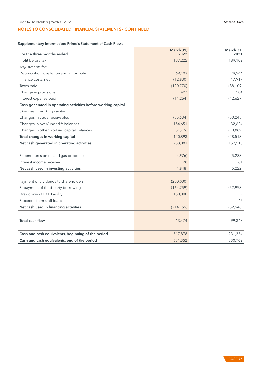# Supplementary information: Prime's Statement of Cash Flows

| Supplementary information: Frime's Statement of Cash Flows    |                   |                   |
|---------------------------------------------------------------|-------------------|-------------------|
| For the three months ended                                    | March 31,<br>2022 | March 31,<br>2021 |
| Profit before tax                                             | 187,222           | 189,102           |
| Adjustments for:                                              |                   |                   |
| Depreciation, depletion and amortization                      | 69,403            | 79,244            |
| Finance costs, net                                            | (12, 830)         | 17,917            |
| Taxes paid                                                    | (120, 770)        | (88, 109)         |
| Change in provisions                                          | 427               | 504               |
| Interest expense paid                                         | (11, 264)         | (12,627)          |
| Cash generated in operating activities before working capital |                   |                   |
| Changes in working capital                                    |                   |                   |
| Changes in trade receivables                                  | (85, 534)         | (50, 248)         |
| Changes in over/underlift balances                            | 154,651           | 32,624            |
| Changes in other working capital balances                     | 51,776            | (10, 889)         |
| Total changes in working capital                              | 120,893           | (28, 513)         |
| Net cash generated in operating activities                    | 233,081           | 157,518           |
|                                                               |                   |                   |
| Expenditures on oil and gas properties                        | (4,976)           | (5,283)           |
| Interest income received                                      | 128               | 61                |
| Net cash used in investing activities                         | (4,848)           | (5, 222)          |
|                                                               |                   |                   |
| Payment of dividends to shareholders                          | (200,000)         |                   |
| Repayment of third-party borrowings                           | (164, 759)        | (52,993)          |
| Drawdown of PXF Facility                                      | 150,000           |                   |
| Proceeds from staff loans                                     |                   | 45                |
| Net cash used in financing activities                         | (214, 759)        | (52,948)          |
|                                                               |                   |                   |
| <b>Total cash flow</b>                                        | 13,474            | 99,348            |
| Cash and cash equivalents, beginning of the period            | 517,878           | 231,354           |
| Cash and cash equivalents, end of the period                  | 531,352           | 330,702           |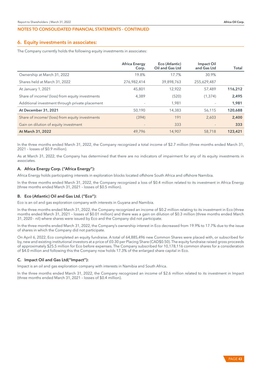## 6. Equity investments in associates:

The Company currently holds the following equity investments in associates:

|                                                 | <b>Africa Energy</b><br>Corp. | Eco (Atlantic)<br>Oil and Gas Ltd | Impact Oil<br>and Gas Ltd | Total   |
|-------------------------------------------------|-------------------------------|-----------------------------------|---------------------------|---------|
| Ownership at March 31, 2022                     | 19.8%                         | 17.7%                             | 30.9%                     |         |
| Shares held at March 31, 2022                   | 276,982,414                   | 39,898,763                        | 255,629,487               |         |
| At January 1, 2021                              | 45,801                        | 12,922                            | 57,489                    | 116,212 |
| Share of income/ (loss) from equity investments | 4,389                         | (520)                             | (1, 374)                  | 2,495   |
| Additional investment through private placement |                               | 1,981                             |                           | 1,981   |
| At December 31, 2021                            | 50,190                        | 14,383                            | 56,115                    | 120,688 |
| Share of income/ (loss) from equity investments | (394)                         | 191                               | 2,603                     | 2,400   |
| Gain on dilution of equity investment           |                               | 333                               |                           | 333     |
| At March 31, 2022                               | 49,796                        | 14,907                            | 58,718                    | 123,421 |

In the three months ended March 31, 2022, the Company recognized a total income of \$2.7 million (three months ended March 31, 2021 – losses of \$0.9 million).

As at March 31, 2022, the Company has determined that there are no indicators of impairment for any of its equity investments in associates.

## A. Africa Energy Corp. ("Africa Energy"):

Africa Energy holds participating interests in exploration blocks located offshore South Africa and offshore Namibia.

In the three months ended March 31, 2022, the Company recognized a loss of \$0.4 million related to its investment in Africa Energy (three months ended March 31, 2021 – losses of \$0.5 million).

## B. Eco (Atlantic) Oil and Gas Ltd. ("Eco"):

Eco is an oil and gas exploration company with interests in Guyana and Namibia.

In the three months ended March 31, 2022, the Company recognized an income of \$0.2 million relating to its investment in Eco (three months ended March 31, 2021 – losses of \$0.01 million) and there was a gain on dilution of \$0.3 million (three months ended March 31, 2020 - nil) where shares were issued by Eco and the Company did not participate.

In the three months ended March 31, 2022, the Company's ownership interest in Eco decreased from 19.9% to 17.7% due to the issue of shares in which the Company did not participate.

On April 6, 2022, Eco completed an equity fundraise. A total of 64,885,496 new Common Shares were placed with, or subscribed for by, new and existing institutional investors at a price of £0.30 per Placing Share (CAD\$0.50). The equity fundraise raised gross proceeds of approximately \$25.5 million for Eco before expenses. The Company subscribed for 10,178,116 common shares for a consideration of \$4.0 million and following this the Company now holds 17.3% of the enlarged share capital in Eco.

## C. Impact Oil and Gas Ltd("Impact"):

Impact is an oil and gas exploration company with interests in Namibia and South Africa.

In the three months ended March 31, 2022, the Company recognized an income of \$2.6 million related to its investment in Impact (three months ended March 31, 2021 – losses of \$0.4 million).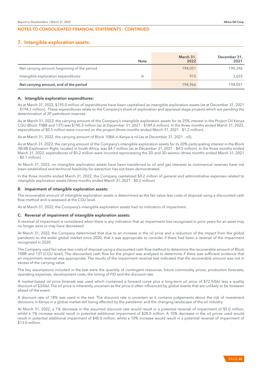## 7. Intangible exploration assets:

|                                              | <b>Note</b> | March 31,<br>2022 | December 31,<br>2021 |
|----------------------------------------------|-------------|-------------------|----------------------|
| Net carrying amount, beginning of the period |             | 194,051           | 190,396              |
| Intangible exploration expenditures          |             | 915               | 3,655                |
| Net carrying amount, end of the period       |             | 194,966           | 194,051              |

#### A. Intangible exploration expenditures:

As at March 31, 2022, \$195.0 million of expenditures have been capitalized as intangible exploration assets (as at December 31, 2021 - \$194.1 million). These expenditures relate to the Company's share of exploration and appraisal stage projects which are pending the determination of 2P petroleum reserves.

As at March 31, 2022, the carrying amount of the Company's intangible exploration assets for its 25% interest in the Project Oil Kenya CGU (Block 10BB and 13T) was \$190.3 million (as at December 31, 2021 - \$189.6 million). In the three months ended March 31, 2022, expenditures of \$0.5 million were incurred on the project (three months ended March 31, 2021 - \$1.2 million).

As at March 31, 2022, the carrying amount of Block 10BA in Kenya is nil (as at December 31, 2021 - nil).

As at March 31, 2022, the carrying amount of the Company's intangible exploration assets for its 20% participating interest in the Block 3B/4B Exploration Right, located in South Africa, was \$4.7 million (as at December 31, 2021 - \$4.5 million). In the three months ended March 31, 2022, expenditures of \$0.2 million were incurred reprocessing the 2D and 3D seismic (three months ended March 31, 2021 - \$0.1 million).

At March 31, 2022, no intangible exploration assets have been transferred to oil and gas interests as commercial reserves have not been established and technical feasibility for extraction has not been demonstrated.

In the three months ended March 31, 2022, the Company capitalized \$0.2 million of general and administrative expenses related to intangible exploration assets (three months ended March 31, 2021 - \$0.2 million).

#### B. Impairment of intangible exploration assets:

The recoverable amount of intangible exploration assets is determined as the fair value less costs of disposal using a discounted cash flow method and is assessed at the CGU level.

As at March 31, 2022, the Company's intangible exploration assets had no indicators of impairment.

#### C. Reversal of impairment of intangible exploration assets:

A reversal of impairment is considered when there is any indication that an impairment loss recognized in prior years for an asset may no longer exist or may have decreased.

At March 31, 2022, the Company determined that due to an increase in the oil price and a reduction of the impact from the global pandemic to the wider global market since 2020, that it was appropriate to consider if there had been a reversal of the impairment recognized in 2020.

The Company used fair value less costs of disposal using a discounted cash flow method to determine the recoverable amount of Block 10BB and 13T (CGU level). The discounted cash flow for the project was analyzed to determine if there was sufficient evidence that an impairment reversal was appropriate. The results of the impairment reversal test indicated that the recoverable amount was not in excess of the carrying value.

The key assumptions included in the test were the quantity of contingent resources, future commodity prices, production forecasts, operating expenses, development costs, the timing of FID and the discount rate.

A market-based oil price forecast was used which contained a forward curve plus a long-term oil price of \$72.9/bbl less a quality discount of \$3/bbl. The oil price is inherently uncertain as the price is often influenced by global events that are unlikely to be foreseen ahead of the event.

A discount rate of 18% was used in the test. The discount rate is uncertain as it contains judgements about the risk of investment decisions in Kenya in a global market still being affected by the pandemic and the changing landscape of the oil industry.

At March 31, 2022, a 1% decrease in the assumed discount rate would result in a potential reversal of impairment of \$5.0 million, whilst a 1% increase would result in potential additional impairment of \$28.0 million. A 10% decrease in the oil prices used would result in potential additional impairment of \$40.0 million, whilst a 10% increase would result in a potential reversal of impairment of \$13.0 million.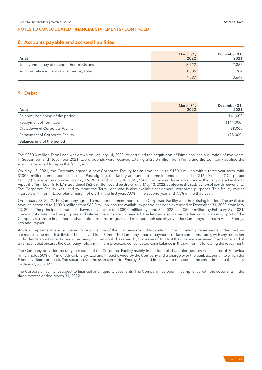# 8. Accounts payable and accrued liabilities:

| As at                                       | March 31,<br>2022 | December 31,<br>2021 |
|---------------------------------------------|-------------------|----------------------|
| Joint venture payables and other provisions | 3,512             | 2,865                |
| Administrative accruals and other payables  | 1.385             | 784                  |
|                                             | 4.897             | 3.649                |

# 9. Debt:

| As at                            | March 31,<br>2022 | December 31,<br>2021 |
|----------------------------------|-------------------|----------------------|
| Balance, beginning of the period |                   | 141,000              |
| Repayment of Term Loan           |                   | (141,000)            |
| Drawdown of Corporate Facility   |                   | 98,000               |
| Repayment of Corporate Facility  |                   | (98,000)             |
| Balance, end of the period       |                   |                      |

The \$250.0 million Term Loan was drawn on January 14, 2020, to part fund the acquisition of Prime and had a duration of two years. In September and November 2021, two dividends were received totaling \$125.0 million from Prime and the Company applied the amounts received to repay the facility in full.

On May 13, 2021, the Company agreed a new Corporate Facility for an amount up to \$150.0 million with a three-year term, with \$130.0 million committed at that time. Post signing, the facility amount and commitments increased to \$160.0 million ("Corporate Facility"). Completion occurred on July 16, 2021, and on July 30, 2021, \$98.0 million was drawn down under the Corporate Facility to repay the Term Loan in full. An additional \$62.0 million could be drawn until May 13, 2022, subject to the satisfaction of certain covenants. The Corporate Facility was used to repay the Term Loan and is also available for general corporate purposes. This facility carries interests of 1 month-Libor plus a margin of 6.5% in the first year, 7.0% in the second year and 7.5% in the third year.

On January 28, 2022, the Company agreed a number of amendments to the Corporate Facility with the existing lenders. The available amount increased to \$100.0 million from \$62.0 million, and the availability period has been extended to December 31, 2022, from May 13, 2022. The principal amounts, if drawn, may not exceed \$80.0 million by June 30, 2023, and \$50.0 million by February 29, 2024. The maturity date, the loan purpose and interest margins are unchanged. The lenders also waived certain conditions in support of the Company's plans to implement a shareholder returns program and released their security over the Company's shares in Africa Energy, Eco and Impact.

Any loan repayments are calculated to be protective of the Company's liquidity position. Prior to maturity, repayments under the loan are made in the month a dividend is received from Prime. The Company's loan repayments reduce commensurately with any reduction in dividends from Prime. If drawn, the loan principal would be repaid by the lesser of 100% of the dividends received from Prime, and of an amount that ensures the Company hold a minimum projected consolidated cash balance in the six months following the repayment.

The Company provided security in respect of the Corporate Facility mainly in the form of share pledges, over the shares of Petrovida (which holds 50% of Prime), Africa Energy, Eco and Impact owned by the Company and a charge over the bank account into which the Prime dividends are paid. The security over the shares in Africa Energy, Eco and Impact were released in the amendment to the facility on January 28, 2022.

The Corporate Facility is subject to financial and liquidity covenants. The Company has been in compliance with the covenants in the three months ended March 31, 2022.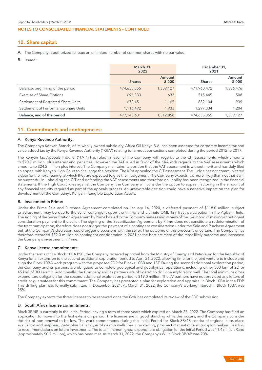# 10. Share capital:

- A. The Company is authorized to issue an unlimited number of common shares with no par value.
- B. Issued:

|                                       | March 31,<br>2022 |                  | December 31,<br>2021 |                  |
|---------------------------------------|-------------------|------------------|----------------------|------------------|
|                                       | <b>Shares</b>     | Amount<br>\$'000 | <b>Shares</b>        | Amount<br>\$′000 |
| Balance, beginning of the period      | 474,655,355       | 1,309,127        | 471,960,472          | 1,306,476        |
| Exercise of Share Options             | 696,333           | 633              | 515,445              | 508              |
| Settlement of Restricted Share Units  | 672,451           | 1,165            | 882,104              | 939              |
| Settlement of Performance Share Units | 1,116,492         | 1,933            | 1,297,334            | 1,204            |
| Balance, end of the period            | 477,140,631       | 1,312,858        | 474,655,355          | 1,309,127        |

# 11. Commitments and contingencies:

#### A. Kenya Revenue Authority:

The Company's Kenyan Branch, of its wholly owned subsidiary, Africa Oil Kenya B.V., has been assessed for corporate income tax and value added tax by the Kenya Revenue Authority ("KRA") relating to farmout transactions completed during the period 2012 to 2017.

The Kenyan Tax Appeals Tribunal ("TAT") has ruled in favor of the Company with regards to the CIT assessments, which amounts to \$20.7 million, plus interest and penalties. However, the TAT ruled in favor of the KRA with regards to the VAT assessments which amounts to \$24.2 million plus interest. The Company maintains its position that the VAT assessment is without merit and has duly filed an appeal with Kenya's High Court to challenge the position. The KRA appealed the CIT assessment. The Judge has not communicated a date for the next hearing, at which they are expected to give their judgement. The Company expects it is more likely than not that it will be successful in upholding the CIT and defending the VAT assessments and therefore no liability has been recognized in the financial statements. If the High Court rules against the Company, the Company will consider the option to appeal, factoring in the amount of any financial security required as part of the appeals process. An unfavorable decision could have a negative impact on the plan for development of the Company's Kenyan Intangible Exploration Assets.

#### B. Investment in Prime:

Under the Prime Sale and Purchase Agreement completed on January 14, 2020, a deferred payment of \$118.0 million, subject to adjustment, may be due to the seller contingent upon the timing and ultimate OML 127 tract participation in the Agbami field. The signing of the Securitization Agreement by Prime has led to the Company reassessing its view of the likelihood of making a contingent consideration payment to the seller. The signing of the Securitization Agreement by Prime does not constitute a redetermination of the tract participation, therefore does not trigger the payment of a contingent consideration under the Sale and Purchase Agreement but, at the Company's discretion, could trigger discussions with the seller. The outcome of this process is uncertain. The Company has therefore recorded \$32.0 million as contingent consideration in 2021 as the best estimate of the most likely outcome and increased the Company's investment in Prime.

#### C. Kenya license commitments:

Under the terms of the Block 10BA PSC, the Company received approval from the Ministry of Energy and Petroleum for the Republic of Kenya for an extension to the second additional exploration period to April 26, 2022, allowing time for the joint venture to include and align the Block 10BA work program with the proposed FDP for Blocks 10BB and 13T. During the second additional exploration period, the Company and its partners are obligated to complete geological and geophysical operations, including either 500 km<sup>2</sup> of 2D or 45 km<sup>2</sup> of 3D seismic. Additionally, the Company and its partners are obligated to drill one exploration well. The total minimum gross expenditure obligation for the second additional exploration period is \$19.0 million. The JV partners have not provided any letters of credit or guarantees for this commitment. The Company has presented a plan for exploration and appraisal in Block 10BA in the FDP. This drilling plan was formally submitted in December 2021. At March 31, 2022, the Company's working interest in Block 10BA was 25%.

The Company expects the three licenses to be renewed once the GoK has completed its review of the FDP submission.

#### D. South Africa license commitments:

Block 3B/4B is currently in the Initial Period, having a term of three years which expired on March 26, 2022. The Company has filed an application to move into the first extension period. The licenses are in good standing while this occurs, and the Company consider the risk of non-renewal to be low. The work commitments during this Initial Period for Block 3B/4B consist of regional subsurface evaluation and mapping, petrophysical analysis of nearby wells, basin modelling, prospect maturation and prospect ranking, leading to recommendations on future investments. The total minimum gross expenditure obligation for the Initial Period was 11.4 million Rand (approximately \$0.7 million), which has been met. At March 31, 2022, the Company's WI in Block 3B/4B was 20%.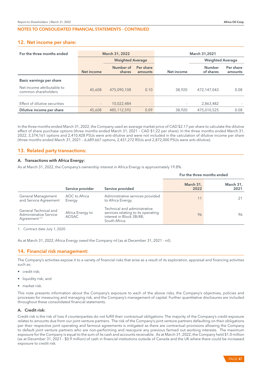# 12. Net income per share:

| For the three months ended                        | March 31, 2022           |                         | March 31,2021            |                          |                            |                      |
|---------------------------------------------------|--------------------------|-------------------------|--------------------------|--------------------------|----------------------------|----------------------|
|                                                   |                          | <b>Weighted Average</b> |                          |                          | <b>Weighted Average</b>    |                      |
|                                                   | Net income               | Number of<br>shares     | Per share<br>amounts     | Net income               | <b>Number</b><br>of shares | Per share<br>amounts |
| Basic earnings per share                          |                          |                         |                          |                          |                            |                      |
| Net income attributable to<br>common shareholders | 45,608                   | 475,090,108             | 0.10                     | 38,920                   | 472.147.043                | 0.08                 |
|                                                   |                          |                         |                          |                          |                            |                      |
| Effect of dilutive securities                     | $\overline{\phantom{a}}$ | 10,022,484              | $\overline{\phantom{a}}$ | $\overline{\phantom{a}}$ | 2,863,482                  |                      |
| Dilutive income per share                         | 45,608                   | 485,112,592             | 0.09                     | 38,920                   | 475,010,525                | 0.08                 |

In the three months ended March 31, 2022, the Company used an average market price of CAD \$2.17 per share to calculate the dilutive effect of share purchase options (three months ended March 31, 2021 – CAD \$1.22 per share). In the three months ended March 31, 2022, 3,374,161 options and 2,410,428 PSUs were anti-dilutive and were not included in the calculation of dilutive income per share (three months ended March 31, 2021 – 6,689,667 options, 2,431,272 RSUs and 2,872,000 PSUs were anti-dilutive).

# 13. Related party transactions:

# A. Transactions with Africa Energy:

As at March 31, 2022, the Company's ownership interest in Africa Energy is approximately 19.8%.

|                                                                             |                                  |                                                                                                                 | For the three months ended |                   |
|-----------------------------------------------------------------------------|----------------------------------|-----------------------------------------------------------------------------------------------------------------|----------------------------|-------------------|
|                                                                             | Service provider                 | Service provided                                                                                                | March 31,<br>2022          | March 31,<br>2021 |
| General Management<br>and Service Agreement                                 | AOC to Africa<br>Energy          | Administrative services provided<br>to Africa Energy.                                                           | 11                         |                   |
| General Technical and<br>Administrative Service<br>Agreement <sup>(1)</sup> | Africa Energy to<br><b>AOSAC</b> | Technical and administrative<br>services relating to its operating<br>interest in Block 3B/4B,<br>South Africa. | 96                         | 96                |

1. Contract date July 1, 2020

As at March 31, 2022, Africa Energy owed the Company nil (as at December 31, 2021 - nil).

# 14. Financial risk management:

The Company's activities expose it to a variety of financial risks that arise as a result of its exploration, appraisal and financing activities such as:

- credit risk;
- liquidity risk; and
- market risk.

This note presents information about the Company's exposure to each of the above risks, the Company's objectives, policies and processes for measuring and managing risk, and the Company's management of capital. Further quantitative disclosures are included throughout these consolidated financial statements.

## A. Credit risk:

Credit risk is the risk of loss if counterparties do not fulfill their contractual obligations. The majority of the Company's credit exposure relates to amounts due from our joint venture partners. The risk of the Company's joint venture partners defaulting on their obligations per their respective joint operating and farmout agreements is mitigated as there are contractual provisions allowing the Company to default joint venture partners who are non-performing and reacquire any previous farmed out working interests. The maximum exposure for the Company is equal to the sum of its cash and accounts receivable. As at March 31, 2022, the Company held \$1.0 million (as at December 31, 2021 - \$0.9 million) of cash in financial institutions outside of Canada and the UK where there could be increased exposure to credit risk.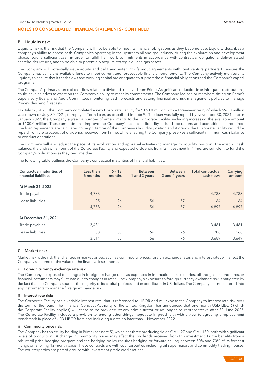#### B. Liquidity risk:

Liquidity risk is the risk that the Company will not be able to meet its financial obligations as they become due. Liquidity describes a company's ability to access cash. Companies operating in the upstream oil and gas industry, during the exploration and development phase, require sufficient cash in order to fulfill their work commitments in accordance with contractual obligations, deliver stated shareholder returns, and to be able to potentially acquire strategic oil and gas assets.

The Company will potentially issue equity and debt and enter into farmout agreements with joint venture partners to ensure the Company has sufficient available funds to meet current and foreseeable financial requirements. The Company actively monitors its liquidity to ensure that its cash flows and working capital are adequate to support these financial obligations and the Company's capital programs.

The Company's primary source of cash flow relates to dividends received from Prime. A significant reduction in or infrequent distributions, could have an adverse effect on the Company's ability to meet its commitments. The Company has senior members sitting on Prime's Supervisory Board and Audit Committee, monitoring cash forecasts and setting financial and risk management policies to manage Prime's dividend forecasts.

On July 16, 2021, the Company completed a new Corporate Facility for \$160.0 million with a three-year term, of which \$98.0 million was drawn on July 30, 2021, to repay its Term Loan, as described in note 9. The loan was fully repaid by November 30, 2021, and in January 2022, the Company agreed a number of amendments to the Corporate Facility, including increasing the available amount to \$100.0 million. These amendments improve the Company's access to liquidity to fund operations and acquisitions as required. The loan repayments are calculated to be protective of the Company's liquidity position and if drawn, the Corporate Facility would be repaid from the proceeds of dividends received from Prime, while ensuring the Company preserves a sufficient minimum cash balance to conduct operations.

The Company will also adjust the pace of its exploration and appraisal activities to manage its liquidity position. The existing cash balance, the undrawn amount of the Corporate Facility and expected dividends from its Investment in Prime, are sufficient to fund the Company's obligations as they become due.

| Contractual maturities of<br>financial liabilities | Less than<br>6 months | $6 - 12$<br>months       | <b>Between</b><br>1 and 2 years | <b>Between</b><br>2 and 4 years | <b>Total contractual</b><br>cash flows | Carrying<br>amount |
|----------------------------------------------------|-----------------------|--------------------------|---------------------------------|---------------------------------|----------------------------------------|--------------------|
|                                                    |                       |                          |                                 |                                 |                                        |                    |
| At March 31, 2022                                  |                       |                          |                                 |                                 |                                        |                    |
| Trade payables                                     | 4,733                 | $\overline{\phantom{a}}$ | $\overline{\phantom{m}}$        | $\overline{\phantom{a}}$        | 4,733                                  | 4,733              |
| Lease liabilities                                  | 25                    | 26                       | 56                              | 57                              | 164                                    | 164                |
|                                                    | 4,758                 | 26                       | 56                              | 57                              | 4,897                                  | 4,897              |
| At December 31, 2021                               |                       |                          |                                 |                                 |                                        |                    |
| Trade payables                                     | 3,481                 | $\overline{\phantom{a}}$ | $\overline{\phantom{a}}$        | $\overline{\phantom{a}}$        | 3,481                                  | 3,481              |
| Lease liabilities                                  | 33                    | 33                       | 66                              | 76                              | 208                                    | 168                |
|                                                    | 3,514                 | 33                       | 66                              | 76                              | 3,689                                  | 3.649              |

The following table outlines the Company's contractual maturities of financial liabilities:

# C. Market risk:

Market risk is the risk that changes in market prices, such as commodity prices, foreign exchange rates and interest rates will affect the Company's income or the value of the financial instruments.

#### i. Foreign currency exchange rate risk:

The Company is exposed to changes in foreign exchange rates as expenses in international subsidiaries, oil and gas expenditures, or financial instruments may fluctuate due to changes in rates. The Company's exposure to foreign currency exchange risk is mitigated by the fact that the Company sources the majority of its capital projects and expenditures in US dollars. The Company has not entered into any instruments to manage foreign exchange risk.

#### ii. Interest rate risk:

The Corporate Facility has a variable interest rate, that is referenced to LIBOR and will expose the Company to interest rate risk over the term of the loan. The Financial Conduct Authority of the United Kingdom has announced that one month USD LIBOR (which the Corporate Facility applies) will cease to be provided by any administrator or no longer be representative after 30 June 2023. The Corporate Facility includes a provision to, among other things, negotiate in good faith with a view to agreeing a replacement benchmark in place of USD LIBOR from and including a date no later than 1 November 2022.

#### iii. Commodity price risk:

The Company has an equity holding in Prime (see note 5), which has three producing fields OML127 and OML 130, both with significant levels of production. A change in commodity prices may affect the dividends received from this investment. Prime benefits from a robust oil price hedging program and the hedging policy requires hedging or forward selling between 50% and 70% of its forecast liftings on a rolling 12-month basis. These contracts are with counterparties including oil supermajors and commodity trading houses. The counterparties are part of groups with investment grade credit ratings.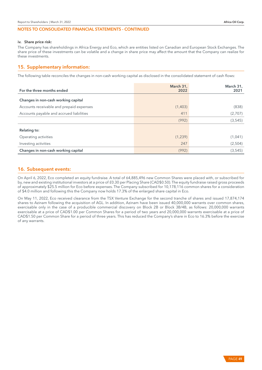#### iv. Share price risk:

The Company has shareholdings in Africa Energy and Eco, which are entities listed on Canadian and European Stock Exchanges. The share price of these investments can be volatile and a change in share price may affect the amount that the Company can realize for these investments.

# 15. Supplementary information:

The following table reconciles the changes in non-cash working capital as disclosed in the consolidated statement of cash flows:

| For the three months ended               | March 31,<br>2022 | March 31,<br>2021 |
|------------------------------------------|-------------------|-------------------|
| Changes in non-cash working capital      |                   |                   |
| Accounts receivable and prepaid expenses | (1,403)           | (838)             |
| Accounts payable and accrued liabilities | 411               | (2,707)           |
|                                          | (992)             | (3, 545)          |
| <b>Relating to:</b>                      |                   |                   |
| Operating activities                     | (1,239)           | (1,041)           |
| Investing activities                     | 247               | (2,504)           |
| Changes in non-cash working capital      | (992)             | (3, 545)          |

# 16. Subsequent events:

On April 6, 2022, Eco completed an equity fundraise. A total of 64,885,496 new Common Shares were placed with, or subscribed for by, new and existing institutional investors at a price of £0.30 per Placing Share (CAD\$0.50). The equity fundraise raised gross proceeds of approximately \$25.5 million for Eco before expenses. The Company subscribed for 10,178,116 common shares for a consideration of \$4.0 million and following this the Company now holds 17.3% of the enlarged share capital in Eco.

On May 11, 2022, Eco received clearance from the TSX Venture Exchange for the second tranche of shares and issued 17,874,174 shares to Azinam following the acquisition of AGL. In addition, Azinam have been issued 40,000,000 warrants over common shares, exercisable only in the case of a producible commercial discovery on Block 2B or Block 3B/4B, as follows: 20,000,000 warrants exercisable at a price of CAD\$1.00 per Common Shares for a period of two years and 20,000,000 warrants exercisable at a price of CAD\$1.50 per Common Share for a period of three years. This has reduced the Company's share in Eco to 16.3% before the exercise of any warrants.